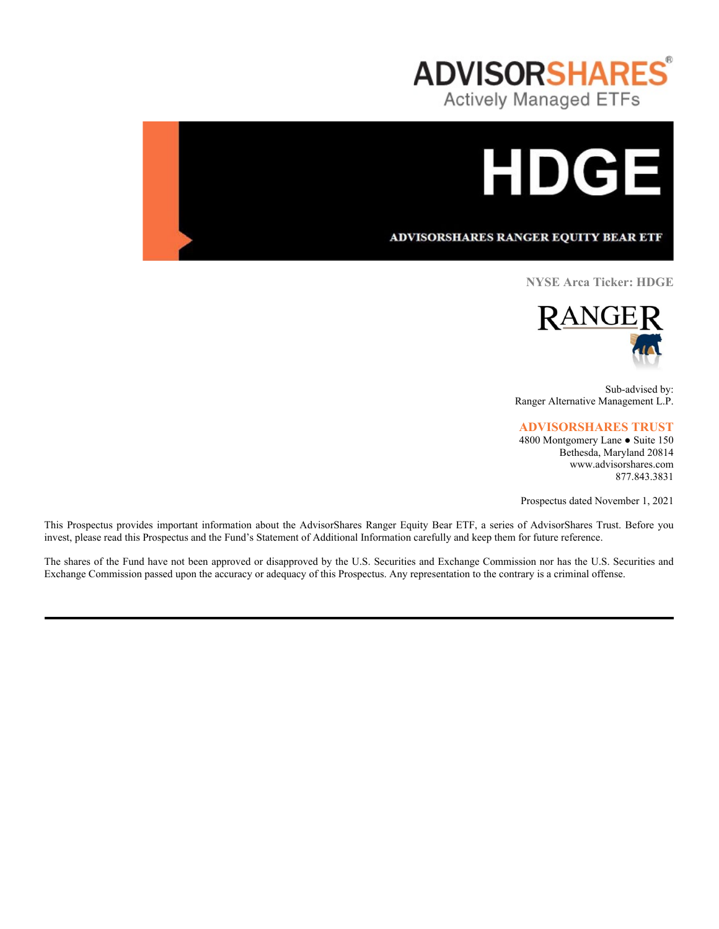



ADVISORSHARES RANGER EQUITY BEAR ETF

**NYSE Arca Ticker: HDGE**



Sub-advised by: Ranger Alternative Management L.P.

# **ADVISORSHARES TRUST**

4800 Montgomery Lane ● Suite 150 Bethesda, Maryland 20814 www.advisorshares.com 877.843.3831

Prospectus dated November 1, 2021

This Prospectus provides important information about the AdvisorShares Ranger Equity Bear ETF, a series of AdvisorShares Trust. Before you invest, please read this Prospectus and the Fund's Statement of Additional Information carefully and keep them for future reference.

The shares of the Fund have not been approved or disapproved by the U.S. Securities and Exchange Commission nor has the U.S. Securities and Exchange Commission passed upon the accuracy or adequacy of this Prospectus. Any representation to the contrary is a criminal offense.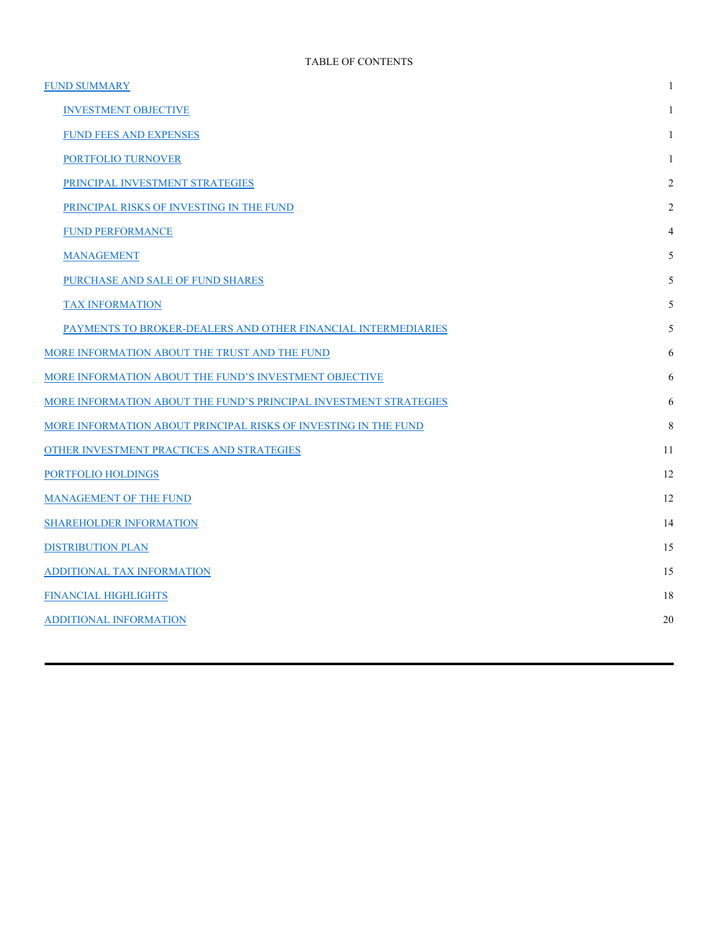| <b>FUND SUMMARY</b>                                               | $\mathbf{1}$   |
|-------------------------------------------------------------------|----------------|
| <b>INVESTMENT OBJECTIVE</b>                                       | $\mathbf{1}$   |
| FUND FEES AND EXPENSES                                            | 1              |
| PORTFOLIO TURNOVER                                                | 1              |
| PRINCIPAL INVESTMENT STRATEGIES                                   | $\overline{2}$ |
| PRINCIPAL RISKS OF INVESTING IN THE FUND                          | 2              |
| <b>FUND PERFORMANCE</b>                                           | 4              |
| <b>MANAGEMENT</b>                                                 | 5              |
| PURCHASE AND SALE OF FUND SHARES                                  | 5              |
| <b>TAX INFORMATION</b>                                            | 5              |
| PAYMENTS TO BROKER-DEALERS AND OTHER FINANCIAL INTERMEDIARIES     | 5              |
| MORE INFORMATION ABOUT THE TRUST AND THE FUND                     | 6              |
| MORE INFORMATION ABOUT THE FUND'S INVESTMENT OBJECTIVE            | 6              |
| MORE INFORMATION ABOUT THE FUND'S PRINCIPAL INVESTMENT STRATEGIES | 6              |
| MORE INFORMATION ABOUT PRINCIPAL RISKS OF INVESTING IN THE FUND   | 8              |
| OTHER INVESTMENT PRACTICES AND STRATEGIES                         | 11             |
| PORTFOLIO HOLDINGS                                                | 12             |
| <b>MANAGEMENT OF THE FUND</b>                                     | 12             |
| <b>SHAREHOLDER INFORMATION</b>                                    | 14             |
| <b>DISTRIBUTION PLAN</b>                                          | 15             |
| ADDITIONAL TAX INFORMATION                                        | 15             |
| <b>FINANCIAL HIGHLIGHTS</b>                                       | 18             |
| <b>ADDITIONAL INFORMATION</b>                                     | 20             |
|                                                                   |                |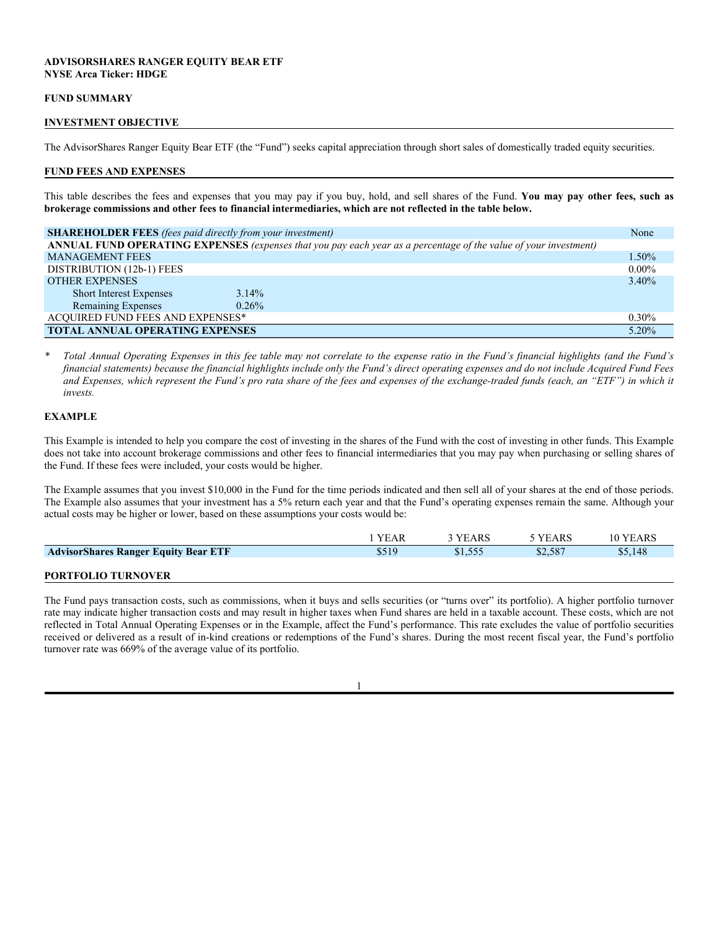## **ADVISORSHARES RANGER EQUITY BEAR ETF NYSE Arca Ticker: HDGE**

#### **FUND SUMMARY**

#### **INVESTMENT OBJECTIVE**

The AdvisorShares Ranger Equity Bear ETF (the "Fund") seeks capital appreciation through short sales of domestically traded equity securities.

#### **FUND FEES AND EXPENSES**

This table describes the fees and expenses that you may pay if you buy, hold, and sell shares of the Fund. **You may pay other fees, such as brokerage commissions and other fees to financial intermediaries, which are not reflected in the table below.**

| <b>SHAREHOLDER FEES</b> (fees paid directly from your investment)                                                | None     |
|------------------------------------------------------------------------------------------------------------------|----------|
| ANNUAL FUND OPERATING EXPENSES (expenses that you pay each year as a percentage of the value of your investment) |          |
| <b>MANAGEMENT FEES</b>                                                                                           | 1.50%    |
| DISTRIBUTION (12b-1) FEES                                                                                        | $0.00\%$ |
| <b>OTHER EXPENSES</b>                                                                                            | 3.40%    |
| $3.14\%$<br><b>Short Interest Expenses</b>                                                                       |          |
| Remaining Expenses<br>$0.26\%$                                                                                   |          |
| <b>ACQUIRED FUND FEES AND EXPENSES*</b>                                                                          | $0.30\%$ |
| <b>TOTAL ANNUAL OPERATING EXPENSES</b>                                                                           | 5.20%    |

*\* Total Annual Operating Expenses in this fee table may not correlate to the expense ratio in the Fund's financial highlights (and the Fund's financial statements) because the financial highlights include only the Fund's direct operating expenses and do not include Acquired Fund Fees and Expenses, which represent the Fund's pro rata share of the fees and expenses of the exchange-traded funds (each, an "ETF") in which it invests.*

## **EXAMPLE**

This Example is intended to help you compare the cost of investing in the shares of the Fund with the cost of investing in other funds. This Example does not take into account brokerage commissions and other fees to financial intermediaries that you may pay when purchasing or selling shares of the Fund. If these fees were included, your costs would be higher.

The Example assumes that you invest \$10,000 in the Fund for the time periods indicated and then sell all of your shares at the end of those periods. The Example also assumes that your investment has a 5% return each year and that the Fund's operating expenses remain the same. Although your actual costs may be higher or lower, based on these assumptions your costs would be:

|                                             | YEAR  | <b>YEARS</b> | 5 YEARS | 10 YEARS |
|---------------------------------------------|-------|--------------|---------|----------|
| <b>AdvisorShares Ranger Equity Bear ETF</b> | \$519 | \$1,555      | \$2,587 | \$5,148  |
| <b>DODTEOLIO TUDMOVED</b>                   |       |              |         |          |

#### **PORTFOLIO TURNOVER**

The Fund pays transaction costs, such as commissions, when it buys and sells securities (or "turns over" its portfolio). A higher portfolio turnover rate may indicate higher transaction costs and may result in higher taxes when Fund shares are held in a taxable account. These costs, which are not reflected in Total Annual Operating Expenses or in the Example, affect the Fund's performance. This rate excludes the value of portfolio securities received or delivered as a result of in-kind creations or redemptions of the Fund's shares. During the most recent fiscal year, the Fund's portfolio turnover rate was 669% of the average value of its portfolio.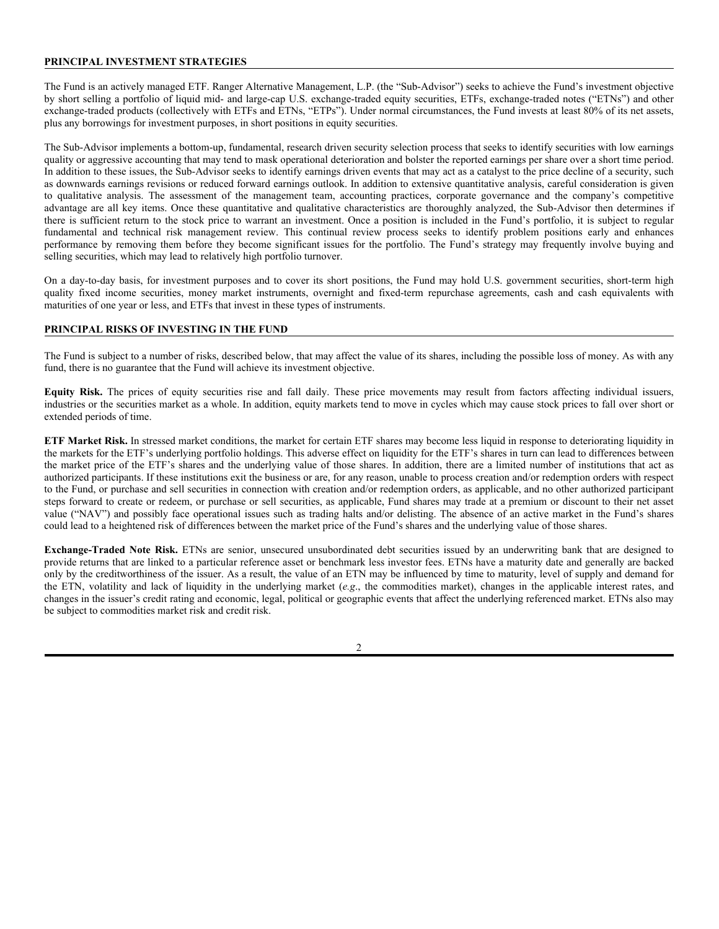## **PRINCIPAL INVESTMENT STRATEGIES**

The Fund is an actively managed ETF. Ranger Alternative Management, L.P. (the "Sub-Advisor") seeks to achieve the Fund's investment objective by short selling a portfolio of liquid mid- and large-cap U.S. exchange-traded equity securities, ETFs, exchange-traded notes ("ETNs") and other exchange-traded products (collectively with ETFs and ETNs, "ETPs"). Under normal circumstances, the Fund invests at least 80% of its net assets, plus any borrowings for investment purposes, in short positions in equity securities.

The Sub-Advisor implements a bottom-up, fundamental, research driven security selection process that seeks to identify securities with low earnings quality or aggressive accounting that may tend to mask operational deterioration and bolster the reported earnings per share over a short time period. In addition to these issues, the Sub-Advisor seeks to identify earnings driven events that may act as a catalyst to the price decline of a security, such as downwards earnings revisions or reduced forward earnings outlook. In addition to extensive quantitative analysis, careful consideration is given to qualitative analysis. The assessment of the management team, accounting practices, corporate governance and the company's competitive advantage are all key items. Once these quantitative and qualitative characteristics are thoroughly analyzed, the Sub-Advisor then determines if there is sufficient return to the stock price to warrant an investment. Once a position is included in the Fund's portfolio, it is subject to regular fundamental and technical risk management review. This continual review process seeks to identify problem positions early and enhances performance by removing them before they become significant issues for the portfolio. The Fund's strategy may frequently involve buying and selling securities, which may lead to relatively high portfolio turnover.

On a day-to-day basis, for investment purposes and to cover its short positions, the Fund may hold U.S. government securities, short-term high quality fixed income securities, money market instruments, overnight and fixed-term repurchase agreements, cash and cash equivalents with maturities of one year or less, and ETFs that invest in these types of instruments.

## **PRINCIPAL RISKS OF INVESTING IN THE FUND**

The Fund is subject to a number of risks, described below, that may affect the value of its shares, including the possible loss of money. As with any fund, there is no guarantee that the Fund will achieve its investment objective.

**Equity Risk.** The prices of equity securities rise and fall daily. These price movements may result from factors affecting individual issuers, industries or the securities market as a whole. In addition, equity markets tend to move in cycles which may cause stock prices to fall over short or extended periods of time.

**ETF Market Risk.** In stressed market conditions, the market for certain ETF shares may become less liquid in response to deteriorating liquidity in the markets for the ETF's underlying portfolio holdings. This adverse effect on liquidity for the ETF's shares in turn can lead to differences between the market price of the ETF's shares and the underlying value of those shares. In addition, there are a limited number of institutions that act as authorized participants. If these institutions exit the business or are, for any reason, unable to process creation and/or redemption orders with respect to the Fund, or purchase and sell securities in connection with creation and/or redemption orders, as applicable, and no other authorized participant steps forward to create or redeem, or purchase or sell securities, as applicable, Fund shares may trade at a premium or discount to their net asset value ("NAV") and possibly face operational issues such as trading halts and/or delisting. The absence of an active market in the Fund's shares could lead to a heightened risk of differences between the market price of the Fund's shares and the underlying value of those shares.

**Exchange-Traded Note Risk.** ETNs are senior, unsecured unsubordinated debt securities issued by an underwriting bank that are designed to provide returns that are linked to a particular reference asset or benchmark less investor fees. ETNs have a maturity date and generally are backed only by the creditworthiness of the issuer. As a result, the value of an ETN may be influenced by time to maturity, level of supply and demand for the ETN, volatility and lack of liquidity in the underlying market (*e.g*., the commodities market), changes in the applicable interest rates, and changes in the issuer's credit rating and economic, legal, political or geographic events that affect the underlying referenced market. ETNs also may be subject to commodities market risk and credit risk.

 $\mathfrak{D}$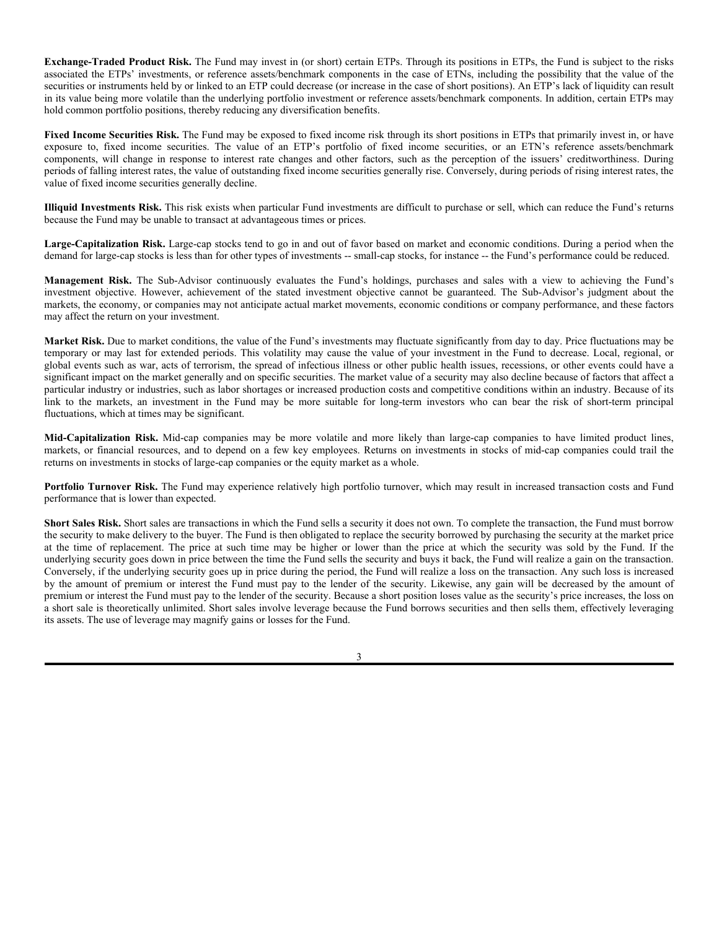**Exchange-Traded Product Risk.** The Fund may invest in (or short) certain ETPs. Through its positions in ETPs, the Fund is subject to the risks associated the ETPs' investments, or reference assets/benchmark components in the case of ETNs, including the possibility that the value of the securities or instruments held by or linked to an ETP could decrease (or increase in the case of short positions). An ETP's lack of liquidity can result in its value being more volatile than the underlying portfolio investment or reference assets/benchmark components. In addition, certain ETPs may hold common portfolio positions, thereby reducing any diversification benefits.

Fixed Income Securities Risk. The Fund may be exposed to fixed income risk through its short positions in ETPs that primarily invest in, or have exposure to, fixed income securities. The value of an ETP's portfolio of fixed income securities, or an ETN's reference assets/benchmark components, will change in response to interest rate changes and other factors, such as the perception of the issuers' creditworthiness. During periods of falling interest rates, the value of outstanding fixed income securities generally rise. Conversely, during periods of rising interest rates, the value of fixed income securities generally decline.

**Illiquid Investments Risk.** This risk exists when particular Fund investments are difficult to purchase or sell, which can reduce the Fund's returns because the Fund may be unable to transact at advantageous times or prices.

**Large-Capitalization Risk.** Large-cap stocks tend to go in and out of favor based on market and economic conditions. During a period when the demand for large-cap stocks is less than for other types of investments -- small-cap stocks, for instance -- the Fund's performance could be reduced.

**Management Risk.** The Sub-Advisor continuously evaluates the Fund's holdings, purchases and sales with a view to achieving the Fund's investment objective. However, achievement of the stated investment objective cannot be guaranteed. The Sub-Advisor's judgment about the markets, the economy, or companies may not anticipate actual market movements, economic conditions or company performance, and these factors may affect the return on your investment.

**Market Risk.** Due to market conditions, the value of the Fund's investments may fluctuate significantly from day to day. Price fluctuations may be temporary or may last for extended periods. This volatility may cause the value of your investment in the Fund to decrease. Local, regional, or global events such as war, acts of terrorism, the spread of infectious illness or other public health issues, recessions, or other events could have a significant impact on the market generally and on specific securities. The market value of a security may also decline because of factors that affect a particular industry or industries, such as labor shortages or increased production costs and competitive conditions within an industry. Because of its link to the markets, an investment in the Fund may be more suitable for long-term investors who can bear the risk of short-term principal fluctuations, which at times may be significant.

**Mid-Capitalization Risk.** Mid-cap companies may be more volatile and more likely than large-cap companies to have limited product lines, markets, or financial resources, and to depend on a few key employees. Returns on investments in stocks of mid-cap companies could trail the returns on investments in stocks of large-cap companies or the equity market as a whole.

**Portfolio Turnover Risk.** The Fund may experience relatively high portfolio turnover, which may result in increased transaction costs and Fund performance that is lower than expected.

**Short Sales Risk.** Short sales are transactions in which the Fund sells a security it does not own. To complete the transaction, the Fund must borrow the security to make delivery to the buyer. The Fund is then obligated to replace the security borrowed by purchasing the security at the market price at the time of replacement. The price at such time may be higher or lower than the price at which the security was sold by the Fund. If the underlying security goes down in price between the time the Fund sells the security and buys it back, the Fund will realize a gain on the transaction. Conversely, if the underlying security goes up in price during the period, the Fund will realize a loss on the transaction. Any such loss is increased by the amount of premium or interest the Fund must pay to the lender of the security. Likewise, any gain will be decreased by the amount of premium or interest the Fund must pay to the lender of the security. Because a short position loses value as the security's price increases, the loss on a short sale is theoretically unlimited. Short sales involve leverage because the Fund borrows securities and then sells them, effectively leveraging its assets. The use of leverage may magnify gains or losses for the Fund.

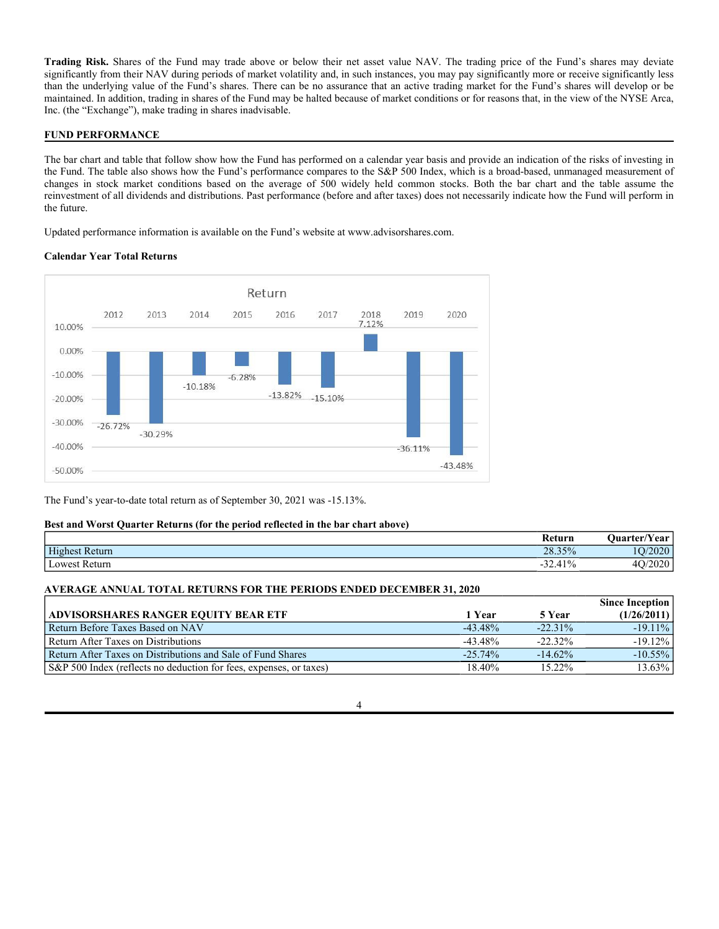**Trading Risk.** Shares of the Fund may trade above or below their net asset value NAV. The trading price of the Fund's shares may deviate significantly from their NAV during periods of market volatility and, in such instances, you may pay significantly more or receive significantly less than the underlying value of the Fund's shares. There can be no assurance that an active trading market for the Fund's shares will develop or be maintained. In addition, trading in shares of the Fund may be halted because of market conditions or for reasons that, in the view of the NYSE Arca, Inc. (the "Exchange"), make trading in shares inadvisable.

## **FUND PERFORMANCE**

The bar chart and table that follow show how the Fund has performed on a calendar year basis and provide an indication of the risks of investing in the Fund. The table also shows how the Fund's performance compares to the S&P 500 Index, which is a broad-based, unmanaged measurement of changes in stock market conditions based on the average of 500 widely held common stocks. Both the bar chart and the table assume the reinvestment of all dividends and distributions. Past performance (before and after taxes) does not necessarily indicate how the Fund will perform in the future.

Updated performance information is available on the Fund's website at www.advisorshares.com.

## **Calendar Year Total Returns**



The Fund's year-to-date total return as of September 30, 2021 was -15.13%.

## **Best and Worst Quarter Returns (for the period reflected in the bar chart above)**

|                | Return    | <b>Uuarter/Year</b> |
|----------------|-----------|---------------------|
| Highest Return | 28.35%    | $\Omega$<br>≤∪∠∪    |
| Lowest Return  | $-32.41%$ | ഹ<br>∠∪∠∪           |

#### **AVERAGE ANNUAL TOTAL RETURNS FOR THE PERIODS ENDED DECEMBER 31, 2020**

|                                                                    |            |            | <b>Since Inception</b> |
|--------------------------------------------------------------------|------------|------------|------------------------|
| <b>ADVISORSHARES RANGER EQUITY BEAR ETF</b>                        | 1 Year     | 5 Year     | (1/26/2011)            |
| Return Before Taxes Based on NAV                                   | $-43.48\%$ | $-22.31\%$ | $-19.11\%$             |
| Return After Taxes on Distributions                                | $-43.48\%$ | $-22.32\%$ | $-19.12\%$             |
| Return After Taxes on Distributions and Sale of Fund Shares        | $-25.74\%$ | $-14.62\%$ | $-10.55\%$             |
| S&P 500 Index (reflects no deduction for fees, expenses, or taxes) | 18.40%     | 15.22%     | 13.63%                 |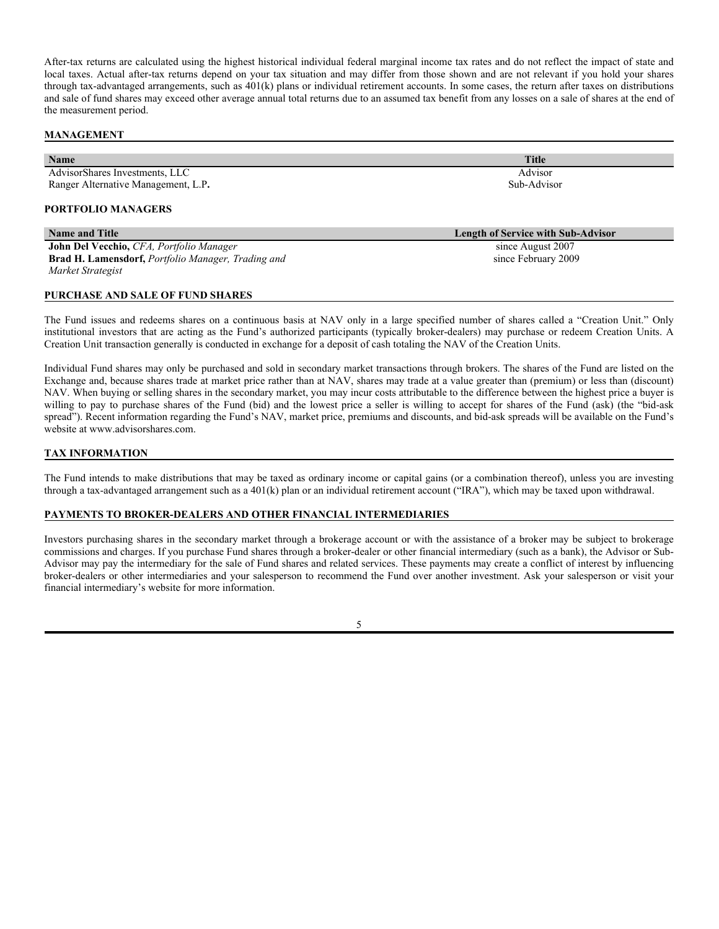After-tax returns are calculated using the highest historical individual federal marginal income tax rates and do not reflect the impact of state and local taxes. Actual after-tax returns depend on your tax situation and may differ from those shown and are not relevant if you hold your shares through tax-advantaged arrangements, such as  $401(k)$  plans or individual retirement accounts. In some cases, the return after taxes on distributions and sale of fund shares may exceed other average annual total returns due to an assumed tax benefit from any losses on a sale of shares at the end of the measurement period.

### **MANAGEMENT**

| Name                                               | <b>Title</b>                              |
|----------------------------------------------------|-------------------------------------------|
| AdvisorShares Investments, LLC                     | Advisor                                   |
| Ranger Alternative Management, L.P.                | Sub-Advisor                               |
| <b>PORTFOLIO MANAGERS</b>                          |                                           |
| <b>Name and Title</b>                              | <b>Length of Service with Sub-Advisor</b> |
| John Del Vecchio, CFA, Portfolio Manager           | since August 2007                         |
| Brad H. Lamensdorf, Portfolio Manager, Trading and | since February 2009                       |
| Market Strategist                                  |                                           |
| PURCHASE AND SALE OF FUND SHARES                   |                                           |

The Fund issues and redeems shares on a continuous basis at NAV only in a large specified number of shares called a "Creation Unit." Only institutional investors that are acting as the Fund's authorized participants (typically broker-dealers) may purchase or redeem Creation Units. A Creation Unit transaction generally is conducted in exchange for a deposit of cash totaling the NAV of the Creation Units.

Individual Fund shares may only be purchased and sold in secondary market transactions through brokers. The shares of the Fund are listed on the Exchange and, because shares trade at market price rather than at NAV, shares may trade at a value greater than (premium) or less than (discount) NAV. When buying or selling shares in the secondary market, you may incur costs attributable to the difference between the highest price a buyer is willing to pay to purchase shares of the Fund (bid) and the lowest price a seller is willing to accept for shares of the Fund (ask) (the "bid-ask spread"). Recent information regarding the Fund's NAV, market price, premiums and discounts, and bid-ask spreads will be available on the Fund's website at www.advisorshares.com.

## **TAX INFORMATION**

The Fund intends to make distributions that may be taxed as ordinary income or capital gains (or a combination thereof), unless you are investing through a tax-advantaged arrangement such as a 401(k) plan or an individual retirement account ("IRA"), which may be taxed upon withdrawal.

#### **PAYMENTS TO BROKER-DEALERS AND OTHER FINANCIAL INTERMEDIARIES**

Investors purchasing shares in the secondary market through a brokerage account or with the assistance of a broker may be subject to brokerage commissions and charges. If you purchase Fund shares through a broker-dealer or other financial intermediary (such as a bank), the Advisor or Sub-Advisor may pay the intermediary for the sale of Fund shares and related services. These payments may create a conflict of interest by influencing broker-dealers or other intermediaries and your salesperson to recommend the Fund over another investment. Ask your salesperson or visit your financial intermediary's website for more information.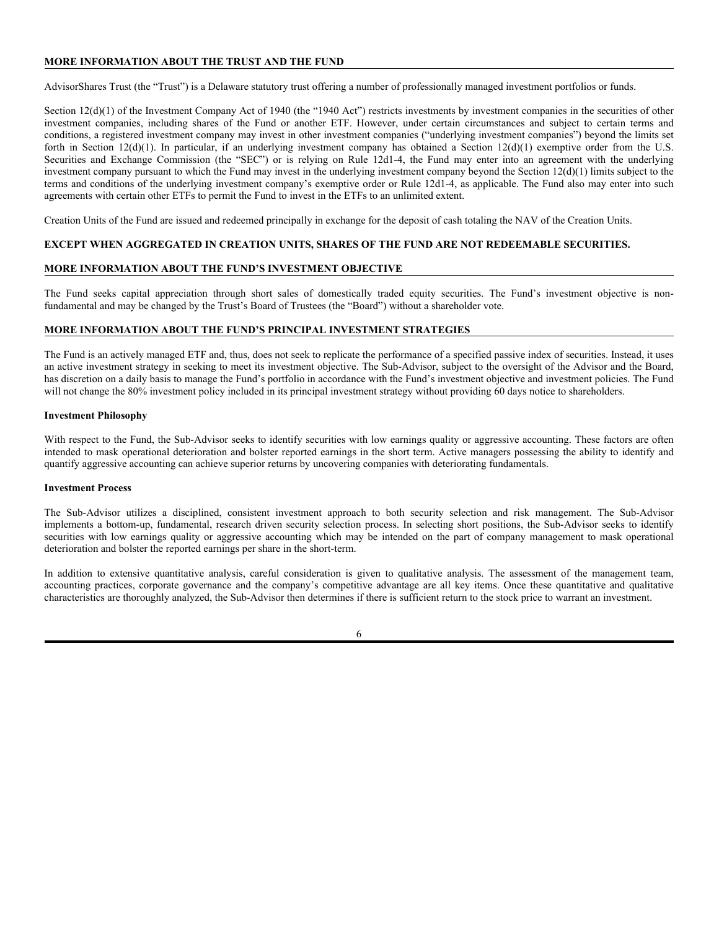## **MORE INFORMATION ABOUT THE TRUST AND THE FUND**

AdvisorShares Trust (the "Trust") is a Delaware statutory trust offering a number of professionally managed investment portfolios or funds.

Section 12(d)(1) of the Investment Company Act of 1940 (the "1940 Act") restricts investments by investment companies in the securities of other investment companies, including shares of the Fund or another ETF. However, under certain circumstances and subject to certain terms and conditions, a registered investment company may invest in other investment companies ("underlying investment companies") beyond the limits set forth in Section 12(d)(1). In particular, if an underlying investment company has obtained a Section 12(d)(1) exemptive order from the U.S. Securities and Exchange Commission (the "SEC") or is relying on Rule 12d1-4, the Fund may enter into an agreement with the underlying investment company pursuant to which the Fund may invest in the underlying investment company beyond the Section 12(d)(1) limits subject to the terms and conditions of the underlying investment company's exemptive order or Rule 12d1-4, as applicable. The Fund also may enter into such agreements with certain other ETFs to permit the Fund to invest in the ETFs to an unlimited extent.

Creation Units of the Fund are issued and redeemed principally in exchange for the deposit of cash totaling the NAV of the Creation Units.

## **EXCEPT WHEN AGGREGATED IN CREATION UNITS, SHARES OF THE FUND ARE NOT REDEEMABLE SECURITIES.**

## **MORE INFORMATION ABOUT THE FUND'S INVESTMENT OBJECTIVE**

The Fund seeks capital appreciation through short sales of domestically traded equity securities. The Fund's investment objective is nonfundamental and may be changed by the Trust's Board of Trustees (the "Board") without a shareholder vote.

## **MORE INFORMATION ABOUT THE FUND'S PRINCIPAL INVESTMENT STRATEGIES**

The Fund is an actively managed ETF and, thus, does not seek to replicate the performance of a specified passive index of securities. Instead, it uses an active investment strategy in seeking to meet its investment objective. The Sub-Advisor, subject to the oversight of the Advisor and the Board, has discretion on a daily basis to manage the Fund's portfolio in accordance with the Fund's investment objective and investment policies. The Fund will not change the 80% investment policy included in its principal investment strategy without providing 60 days notice to shareholders.

#### **Investment Philosophy**

With respect to the Fund, the Sub-Advisor seeks to identify securities with low earnings quality or aggressive accounting. These factors are often intended to mask operational deterioration and bolster reported earnings in the short term. Active managers possessing the ability to identify and quantify aggressive accounting can achieve superior returns by uncovering companies with deteriorating fundamentals.

## **Investment Process**

The Sub-Advisor utilizes a disciplined, consistent investment approach to both security selection and risk management. The Sub-Advisor implements a bottom-up, fundamental, research driven security selection process. In selecting short positions, the Sub-Advisor seeks to identify securities with low earnings quality or aggressive accounting which may be intended on the part of company management to mask operational deterioration and bolster the reported earnings per share in the short-term.

In addition to extensive quantitative analysis, careful consideration is given to qualitative analysis. The assessment of the management team, accounting practices, corporate governance and the company's competitive advantage are all key items. Once these quantitative and qualitative characteristics are thoroughly analyzed, the Sub-Advisor then determines if there is sufficient return to the stock price to warrant an investment.

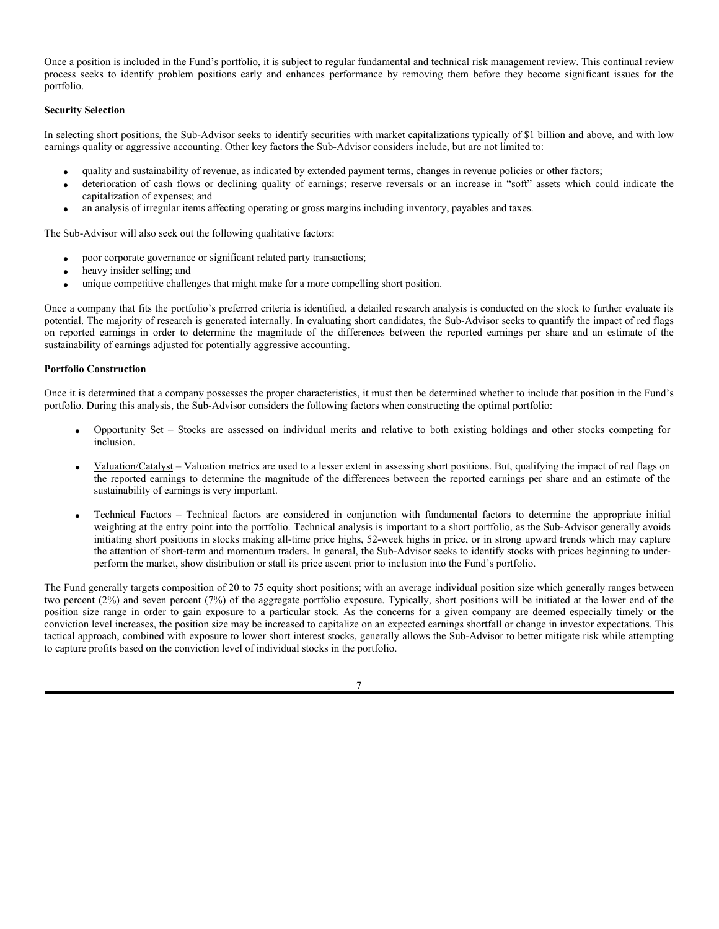Once a position is included in the Fund's portfolio, it is subject to regular fundamental and technical risk management review. This continual review process seeks to identify problem positions early and enhances performance by removing them before they become significant issues for the portfolio.

## **Security Selection**

In selecting short positions, the Sub-Advisor seeks to identify securities with market capitalizations typically of \$1 billion and above, and with low earnings quality or aggressive accounting. Other key factors the Sub-Advisor considers include, but are not limited to:

- quality and sustainability of revenue, as indicated by extended payment terms, changes in revenue policies or other factors;
- deterioration of cash flows or declining quality of earnings; reserve reversals or an increase in "soft" assets which could indicate the capitalization of expenses; and
- an analysis of irregular items affecting operating or gross margins including inventory, payables and taxes.

The Sub-Advisor will also seek out the following qualitative factors:

- poor corporate governance or significant related party transactions;
- heavy insider selling; and
- unique competitive challenges that might make for a more compelling short position.

Once a company that fits the portfolio's preferred criteria is identified, a detailed research analysis is conducted on the stock to further evaluate its potential. The majority of research is generated internally. In evaluating short candidates, the Sub-Advisor seeks to quantify the impact of red flags on reported earnings in order to determine the magnitude of the differences between the reported earnings per share and an estimate of the sustainability of earnings adjusted for potentially aggressive accounting.

## **Portfolio Construction**

Once it is determined that a company possesses the proper characteristics, it must then be determined whether to include that position in the Fund's portfolio. During this analysis, the Sub-Advisor considers the following factors when constructing the optimal portfolio:

- Opportunity Set Stocks are assessed on individual merits and relative to both existing holdings and other stocks competing for inclusion.
- Valuation/Catalyst Valuation metrics are used to a lesser extent in assessing short positions. But, qualifying the impact of red flags on the reported earnings to determine the magnitude of the differences between the reported earnings per share and an estimate of the sustainability of earnings is very important.
- Technical Factors Technical factors are considered in conjunction with fundamental factors to determine the appropriate initial weighting at the entry point into the portfolio. Technical analysis is important to a short portfolio, as the Sub-Advisor generally avoids initiating short positions in stocks making all-time price highs, 52-week highs in price, or in strong upward trends which may capture the attention of short-term and momentum traders. In general, the Sub-Advisor seeks to identify stocks with prices beginning to underperform the market, show distribution or stall its price ascent prior to inclusion into the Fund's portfolio.

The Fund generally targets composition of 20 to 75 equity short positions; with an average individual position size which generally ranges between two percent (2%) and seven percent (7%) of the aggregate portfolio exposure. Typically, short positions will be initiated at the lower end of the position size range in order to gain exposure to a particular stock. As the concerns for a given company are deemed especially timely or the conviction level increases, the position size may be increased to capitalize on an expected earnings shortfall or change in investor expectations. This tactical approach, combined with exposure to lower short interest stocks, generally allows the Sub-Advisor to better mitigate risk while attempting to capture profits based on the conviction level of individual stocks in the portfolio.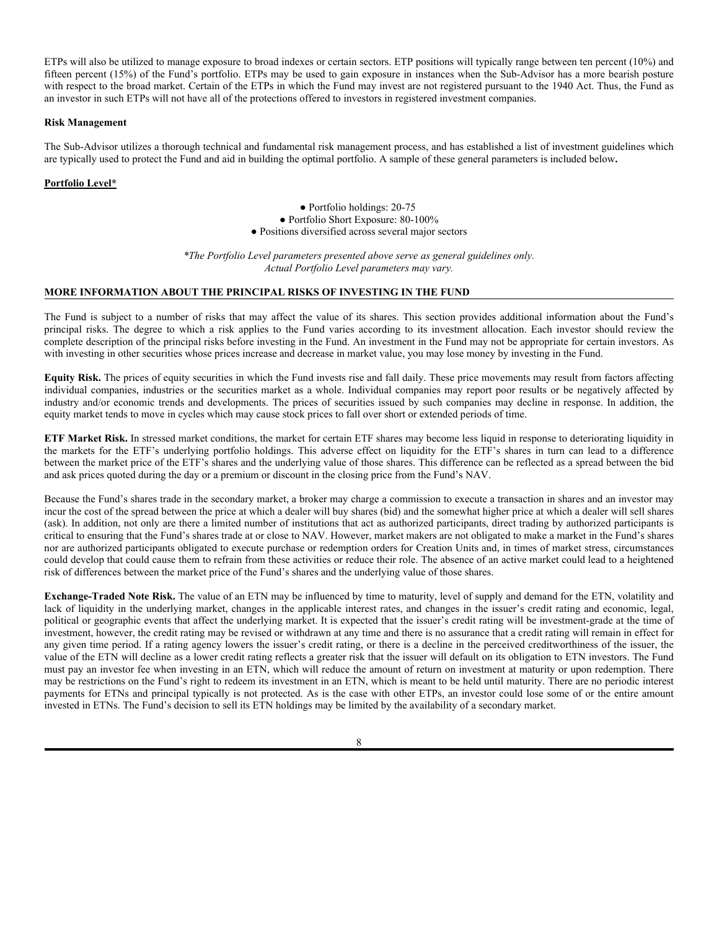ETPs will also be utilized to manage exposure to broad indexes or certain sectors. ETP positions will typically range between ten percent (10%) and fifteen percent (15%) of the Fund's portfolio. ETPs may be used to gain exposure in instances when the Sub-Advisor has a more bearish posture with respect to the broad market. Certain of the ETPs in which the Fund may invest are not registered pursuant to the 1940 Act. Thus, the Fund as an investor in such ETPs will not have all of the protections offered to investors in registered investment companies.

### **Risk Management**

The Sub-Advisor utilizes a thorough technical and fundamental risk management process, and has established a list of investment guidelines which are typically used to protect the Fund and aid in building the optimal portfolio. A sample of these general parameters is included below**.**

## **Portfolio Level\***

● Portfolio holdings: 20-75 ● Portfolio Short Exposure: 80-100% ● Positions diversified across several major sectors

*\*The Portfolio Level parameters presented above serve as general guidelines only. Actual Portfolio Level parameters may vary.*

## **MORE INFORMATION ABOUT THE PRINCIPAL RISKS OF INVESTING IN THE FUND**

The Fund is subject to a number of risks that may affect the value of its shares. This section provides additional information about the Fund's principal risks. The degree to which a risk applies to the Fund varies according to its investment allocation. Each investor should review the complete description of the principal risks before investing in the Fund. An investment in the Fund may not be appropriate for certain investors. As with investing in other securities whose prices increase and decrease in market value, you may lose money by investing in the Fund.

**Equity Risk.** The prices of equity securities in which the Fund invests rise and fall daily. These price movements may result from factors affecting individual companies, industries or the securities market as a whole. Individual companies may report poor results or be negatively affected by industry and/or economic trends and developments. The prices of securities issued by such companies may decline in response. In addition, the equity market tends to move in cycles which may cause stock prices to fall over short or extended periods of time.

**ETF Market Risk.** In stressed market conditions, the market for certain ETF shares may become less liquid in response to deteriorating liquidity in the markets for the ETF's underlying portfolio holdings. This adverse effect on liquidity for the ETF's shares in turn can lead to a difference between the market price of the ETF's shares and the underlying value of those shares. This difference can be reflected as a spread between the bid and ask prices quoted during the day or a premium or discount in the closing price from the Fund's NAV.

Because the Fund's shares trade in the secondary market, a broker may charge a commission to execute a transaction in shares and an investor may incur the cost of the spread between the price at which a dealer will buy shares (bid) and the somewhat higher price at which a dealer will sell shares (ask). In addition, not only are there a limited number of institutions that act as authorized participants, direct trading by authorized participants is critical to ensuring that the Fund's shares trade at or close to NAV. However, market makers are not obligated to make a market in the Fund's shares nor are authorized participants obligated to execute purchase or redemption orders for Creation Units and, in times of market stress, circumstances could develop that could cause them to refrain from these activities or reduce their role. The absence of an active market could lead to a heightened risk of differences between the market price of the Fund's shares and the underlying value of those shares.

**Exchange-Traded Note Risk.** The value of an ETN may be influenced by time to maturity, level of supply and demand for the ETN, volatility and lack of liquidity in the underlying market, changes in the applicable interest rates, and changes in the issuer's credit rating and economic, legal, political or geographic events that affect the underlying market. It is expected that the issuer's credit rating will be investment-grade at the time of investment, however, the credit rating may be revised or withdrawn at any time and there is no assurance that a credit rating will remain in effect for any given time period. If a rating agency lowers the issuer's credit rating, or there is a decline in the perceived creditworthiness of the issuer, the value of the ETN will decline as a lower credit rating reflects a greater risk that the issuer will default on its obligation to ETN investors. The Fund must pay an investor fee when investing in an ETN, which will reduce the amount of return on investment at maturity or upon redemption. There may be restrictions on the Fund's right to redeem its investment in an ETN, which is meant to be held until maturity. There are no periodic interest payments for ETNs and principal typically is not protected. As is the case with other ETPs, an investor could lose some of or the entire amount invested in ETNs. The Fund's decision to sell its ETN holdings may be limited by the availability of a secondary market.

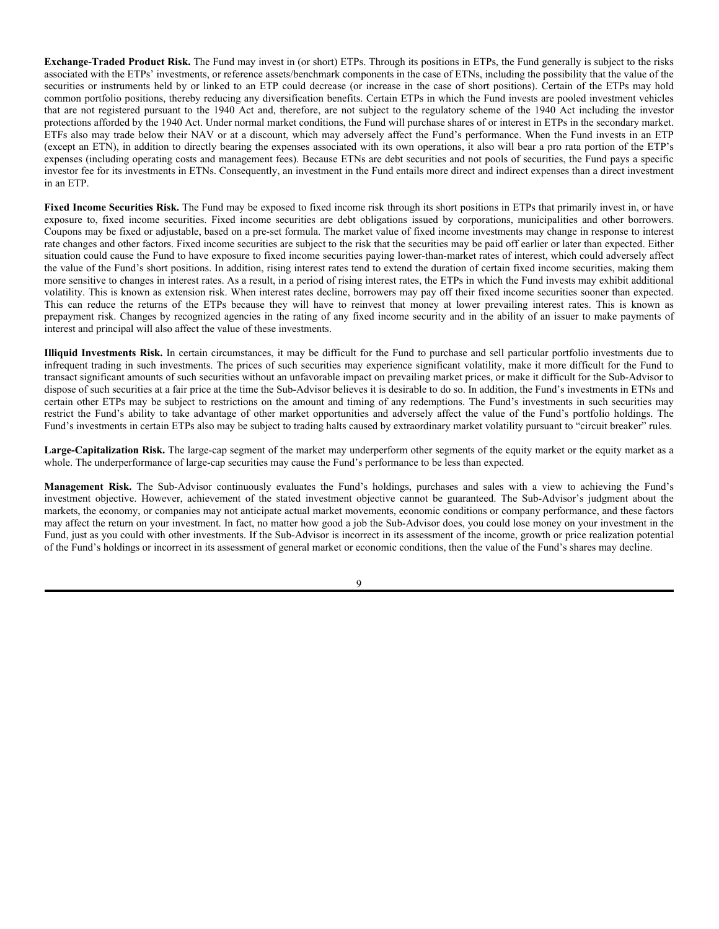**Exchange-Traded Product Risk.** The Fund may invest in (or short) ETPs. Through its positions in ETPs, the Fund generally is subject to the risks associated with the ETPs' investments, or reference assets/benchmark components in the case of ETNs, including the possibility that the value of the securities or instruments held by or linked to an ETP could decrease (or increase in the case of short positions). Certain of the ETPs may hold common portfolio positions, thereby reducing any diversification benefits. Certain ETPs in which the Fund invests are pooled investment vehicles that are not registered pursuant to the 1940 Act and, therefore, are not subject to the regulatory scheme of the 1940 Act including the investor protections afforded by the 1940 Act. Under normal market conditions, the Fund will purchase shares of or interest in ETPs in the secondary market. ETFs also may trade below their NAV or at a discount, which may adversely affect the Fund's performance. When the Fund invests in an ETP (except an ETN), in addition to directly bearing the expenses associated with its own operations, it also will bear a pro rata portion of the ETP's expenses (including operating costs and management fees). Because ETNs are debt securities and not pools of securities, the Fund pays a specific investor fee for its investments in ETNs. Consequently, an investment in the Fund entails more direct and indirect expenses than a direct investment in an ETP.

Fixed Income Securities Risk. The Fund may be exposed to fixed income risk through its short positions in ETPs that primarily invest in, or have exposure to, fixed income securities. Fixed income securities are debt obligations issued by corporations, municipalities and other borrowers. Coupons may be fixed or adjustable, based on a pre-set formula. The market value of fixed income investments may change in response to interest rate changes and other factors. Fixed income securities are subject to the risk that the securities may be paid off earlier or later than expected. Either situation could cause the Fund to have exposure to fixed income securities paying lower-than-market rates of interest, which could adversely affect the value of the Fund's short positions. In addition, rising interest rates tend to extend the duration of certain fixed income securities, making them more sensitive to changes in interest rates. As a result, in a period of rising interest rates, the ETPs in which the Fund invests may exhibit additional volatility. This is known as extension risk. When interest rates decline, borrowers may pay off their fixed income securities sooner than expected. This can reduce the returns of the ETPs because they will have to reinvest that money at lower prevailing interest rates. This is known as prepayment risk. Changes by recognized agencies in the rating of any fixed income security and in the ability of an issuer to make payments of interest and principal will also affect the value of these investments.

**Illiquid Investments Risk.** In certain circumstances, it may be difficult for the Fund to purchase and sell particular portfolio investments due to infrequent trading in such investments. The prices of such securities may experience significant volatility, make it more difficult for the Fund to transact significant amounts of such securities without an unfavorable impact on prevailing market prices, or make it difficult for the Sub-Advisor to dispose of such securities at a fair price at the time the Sub-Advisor believes it is desirable to do so. In addition, the Fund's investments in ETNs and certain other ETPs may be subject to restrictions on the amount and timing of any redemptions. The Fund's investments in such securities may restrict the Fund's ability to take advantage of other market opportunities and adversely affect the value of the Fund's portfolio holdings. The Fund's investments in certain ETPs also may be subject to trading halts caused by extraordinary market volatility pursuant to "circuit breaker" rules.

**Large-Capitalization Risk.** The large-cap segment of the market may underperform other segments of the equity market or the equity market as a whole. The underperformance of large-cap securities may cause the Fund's performance to be less than expected.

**Management Risk.** The Sub-Advisor continuously evaluates the Fund's holdings, purchases and sales with a view to achieving the Fund's investment objective. However, achievement of the stated investment objective cannot be guaranteed. The Sub-Advisor's judgment about the markets, the economy, or companies may not anticipate actual market movements, economic conditions or company performance, and these factors may affect the return on your investment. In fact, no matter how good a job the Sub-Advisor does, you could lose money on your investment in the Fund, just as you could with other investments. If the Sub-Advisor is incorrect in its assessment of the income, growth or price realization potential of the Fund's holdings or incorrect in its assessment of general market or economic conditions, then the value of the Fund's shares may decline.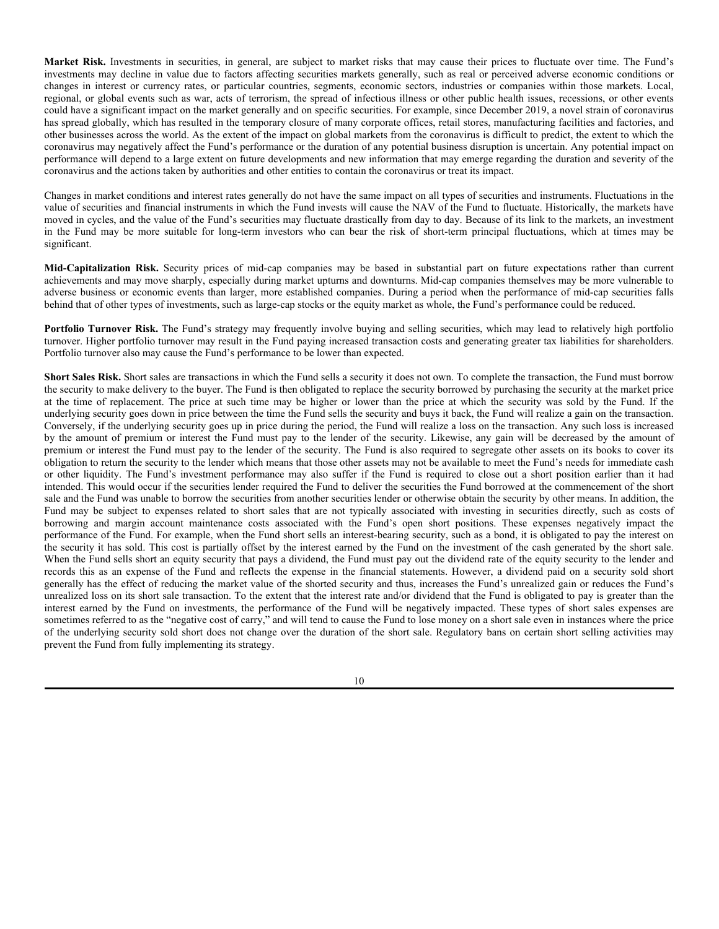**Market Risk.** Investments in securities, in general, are subject to market risks that may cause their prices to fluctuate over time. The Fund's investments may decline in value due to factors affecting securities markets generally, such as real or perceived adverse economic conditions or changes in interest or currency rates, or particular countries, segments, economic sectors, industries or companies within those markets. Local, regional, or global events such as war, acts of terrorism, the spread of infectious illness or other public health issues, recessions, or other events could have a significant impact on the market generally and on specific securities. For example, since December 2019, a novel strain of coronavirus has spread globally, which has resulted in the temporary closure of many corporate offices, retail stores, manufacturing facilities and factories, and other businesses across the world. As the extent of the impact on global markets from the coronavirus is difficult to predict, the extent to which the coronavirus may negatively affect the Fund's performance or the duration of any potential business disruption is uncertain. Any potential impact on performance will depend to a large extent on future developments and new information that may emerge regarding the duration and severity of the coronavirus and the actions taken by authorities and other entities to contain the coronavirus or treat its impact.

Changes in market conditions and interest rates generally do not have the same impact on all types of securities and instruments. Fluctuations in the value of securities and financial instruments in which the Fund invests will cause the NAV of the Fund to fluctuate. Historically, the markets have moved in cycles, and the value of the Fund's securities may fluctuate drastically from day to day. Because of its link to the markets, an investment in the Fund may be more suitable for long-term investors who can bear the risk of short-term principal fluctuations, which at times may be significant.

**Mid-Capitalization Risk.** Security prices of mid-cap companies may be based in substantial part on future expectations rather than current achievements and may move sharply, especially during market upturns and downturns. Mid-cap companies themselves may be more vulnerable to adverse business or economic events than larger, more established companies. During a period when the performance of mid-cap securities falls behind that of other types of investments, such as large-cap stocks or the equity market as whole, the Fund's performance could be reduced.

Portfolio Turnover Risk. The Fund's strategy may frequently involve buying and selling securities, which may lead to relatively high portfolio turnover. Higher portfolio turnover may result in the Fund paying increased transaction costs and generating greater tax liabilities for shareholders. Portfolio turnover also may cause the Fund's performance to be lower than expected.

**Short Sales Risk.** Short sales are transactions in which the Fund sells a security it does not own. To complete the transaction, the Fund must borrow the security to make delivery to the buyer. The Fund is then obligated to replace the security borrowed by purchasing the security at the market price at the time of replacement. The price at such time may be higher or lower than the price at which the security was sold by the Fund. If the underlying security goes down in price between the time the Fund sells the security and buys it back, the Fund will realize a gain on the transaction. Conversely, if the underlying security goes up in price during the period, the Fund will realize a loss on the transaction. Any such loss is increased by the amount of premium or interest the Fund must pay to the lender of the security. Likewise, any gain will be decreased by the amount of premium or interest the Fund must pay to the lender of the security. The Fund is also required to segregate other assets on its books to cover its obligation to return the security to the lender which means that those other assets may not be available to meet the Fund's needs for immediate cash or other liquidity. The Fund's investment performance may also suffer if the Fund is required to close out a short position earlier than it had intended. This would occur if the securities lender required the Fund to deliver the securities the Fund borrowed at the commencement of the short sale and the Fund was unable to borrow the securities from another securities lender or otherwise obtain the security by other means. In addition, the Fund may be subject to expenses related to short sales that are not typically associated with investing in securities directly, such as costs of borrowing and margin account maintenance costs associated with the Fund's open short positions. These expenses negatively impact the performance of the Fund. For example, when the Fund short sells an interest-bearing security, such as a bond, it is obligated to pay the interest on the security it has sold. This cost is partially offset by the interest earned by the Fund on the investment of the cash generated by the short sale. When the Fund sells short an equity security that pays a dividend, the Fund must pay out the dividend rate of the equity security to the lender and records this as an expense of the Fund and reflects the expense in the financial statements. However, a dividend paid on a security sold short generally has the effect of reducing the market value of the shorted security and thus, increases the Fund's unrealized gain or reduces the Fund's unrealized loss on its short sale transaction. To the extent that the interest rate and/or dividend that the Fund is obligated to pay is greater than the interest earned by the Fund on investments, the performance of the Fund will be negatively impacted. These types of short sales expenses are sometimes referred to as the "negative cost of carry," and will tend to cause the Fund to lose money on a short sale even in instances where the price of the underlying security sold short does not change over the duration of the short sale. Regulatory bans on certain short selling activities may prevent the Fund from fully implementing its strategy.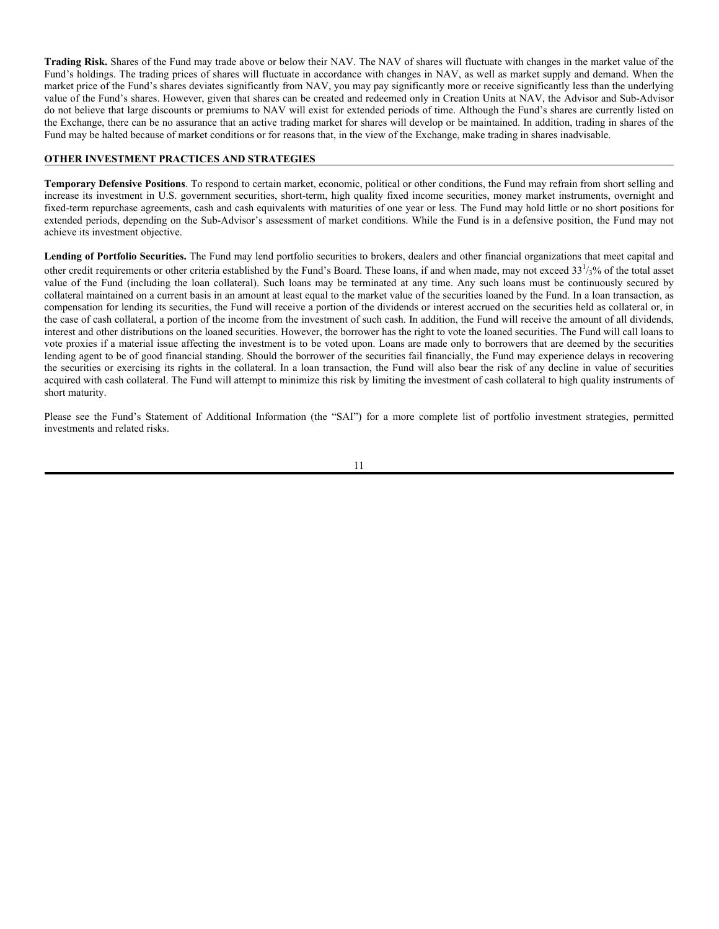**Trading Risk.** Shares of the Fund may trade above or below their NAV. The NAV of shares will fluctuate with changes in the market value of the Fund's holdings. The trading prices of shares will fluctuate in accordance with changes in NAV, as well as market supply and demand. When the market price of the Fund's shares deviates significantly from NAV, you may pay significantly more or receive significantly less than the underlying value of the Fund's shares. However, given that shares can be created and redeemed only in Creation Units at NAV, the Advisor and Sub-Advisor do not believe that large discounts or premiums to NAV will exist for extended periods of time. Although the Fund's shares are currently listed on the Exchange, there can be no assurance that an active trading market for shares will develop or be maintained. In addition, trading in shares of the Fund may be halted because of market conditions or for reasons that, in the view of the Exchange, make trading in shares inadvisable.

## **OTHER INVESTMENT PRACTICES AND STRATEGIES**

**Temporary Defensive Positions**. To respond to certain market, economic, political or other conditions, the Fund may refrain from short selling and increase its investment in U.S. government securities, short-term, high quality fixed income securities, money market instruments, overnight and fixed-term repurchase agreements, cash and cash equivalents with maturities of one year or less. The Fund may hold little or no short positions for extended periods, depending on the Sub-Advisor's assessment of market conditions. While the Fund is in a defensive position, the Fund may not achieve its investment objective.

**Lending of Portfolio Securities.** The Fund may lend portfolio securities to brokers, dealers and other financial organizations that meet capital and other credit requirements or other criteria established by the Fund's Board. These loans, if and when made, may not exceed  $33^{1/3}$ % of the total asset value of the Fund (including the loan collateral). Such loans may be terminated at any time. Any such loans must be continuously secured by collateral maintained on a current basis in an amount at least equal to the market value of the securities loaned by the Fund. In a loan transaction, as compensation for lending its securities, the Fund will receive a portion of the dividends or interest accrued on the securities held as collateral or, in the case of cash collateral, a portion of the income from the investment of such cash. In addition, the Fund will receive the amount of all dividends, interest and other distributions on the loaned securities. However, the borrower has the right to vote the loaned securities. The Fund will call loans to vote proxies if a material issue affecting the investment is to be voted upon. Loans are made only to borrowers that are deemed by the securities lending agent to be of good financial standing. Should the borrower of the securities fail financially, the Fund may experience delays in recovering the securities or exercising its rights in the collateral. In a loan transaction, the Fund will also bear the risk of any decline in value of securities acquired with cash collateral. The Fund will attempt to minimize this risk by limiting the investment of cash collateral to high quality instruments of short maturity.

Please see the Fund's Statement of Additional Information (the "SAI") for a more complete list of portfolio investment strategies, permitted investments and related risks.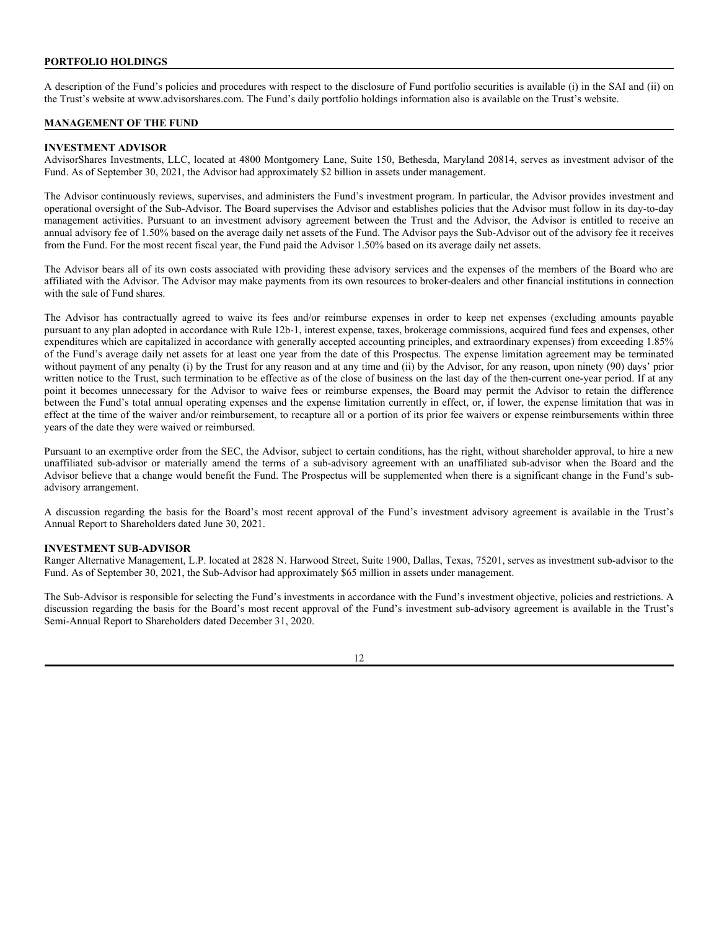## **PORTFOLIO HOLDINGS**

A description of the Fund's policies and procedures with respect to the disclosure of Fund portfolio securities is available (i) in the SAI and (ii) on the Trust's website at www.advisorshares.com. The Fund's daily portfolio holdings information also is available on the Trust's website.

## **MANAGEMENT OF THE FUND**

## **INVESTMENT ADVISOR**

AdvisorShares Investments, LLC, located at 4800 Montgomery Lane, Suite 150, Bethesda, Maryland 20814, serves as investment advisor of the Fund. As of September 30, 2021, the Advisor had approximately \$2 billion in assets under management.

The Advisor continuously reviews, supervises, and administers the Fund's investment program. In particular, the Advisor provides investment and operational oversight of the Sub-Advisor. The Board supervises the Advisor and establishes policies that the Advisor must follow in its day-to-day management activities. Pursuant to an investment advisory agreement between the Trust and the Advisor, the Advisor is entitled to receive an annual advisory fee of 1.50% based on the average daily net assets of the Fund. The Advisor pays the Sub-Advisor out of the advisory fee it receives from the Fund. For the most recent fiscal year, the Fund paid the Advisor 1.50% based on its average daily net assets.

The Advisor bears all of its own costs associated with providing these advisory services and the expenses of the members of the Board who are affiliated with the Advisor. The Advisor may make payments from its own resources to broker-dealers and other financial institutions in connection with the sale of Fund shares.

The Advisor has contractually agreed to waive its fees and/or reimburse expenses in order to keep net expenses (excluding amounts payable pursuant to any plan adopted in accordance with Rule 12b-1, interest expense, taxes, brokerage commissions, acquired fund fees and expenses, other expenditures which are capitalized in accordance with generally accepted accounting principles, and extraordinary expenses) from exceeding 1.85% of the Fund's average daily net assets for at least one year from the date of this Prospectus. The expense limitation agreement may be terminated without payment of any penalty (i) by the Trust for any reason and at any time and (ii) by the Advisor, for any reason, upon ninety (90) days' prior written notice to the Trust, such termination to be effective as of the close of business on the last day of the then-current one-year period. If at any point it becomes unnecessary for the Advisor to waive fees or reimburse expenses, the Board may permit the Advisor to retain the difference between the Fund's total annual operating expenses and the expense limitation currently in effect, or, if lower, the expense limitation that was in effect at the time of the waiver and/or reimbursement, to recapture all or a portion of its prior fee waivers or expense reimbursements within three years of the date they were waived or reimbursed.

Pursuant to an exemptive order from the SEC, the Advisor, subject to certain conditions, has the right, without shareholder approval, to hire a new unaffiliated sub-advisor or materially amend the terms of a sub-advisory agreement with an unaffiliated sub-advisor when the Board and the Advisor believe that a change would benefit the Fund. The Prospectus will be supplemented when there is a significant change in the Fund's subadvisory arrangement.

A discussion regarding the basis for the Board's most recent approval of the Fund's investment advisory agreement is available in the Trust's Annual Report to Shareholders dated June 30, 2021.

#### **INVESTMENT SUB-ADVISOR**

Ranger Alternative Management, L.P. located at 2828 N. Harwood Street, Suite 1900, Dallas, Texas, 75201, serves as investment sub-advisor to the Fund. As of September 30, 2021, the Sub-Advisor had approximately \$65 million in assets under management.

The Sub-Advisor is responsible for selecting the Fund's investments in accordance with the Fund's investment objective, policies and restrictions. A discussion regarding the basis for the Board's most recent approval of the Fund's investment sub-advisory agreement is available in the Trust's Semi-Annual Report to Shareholders dated December 31, 2020.

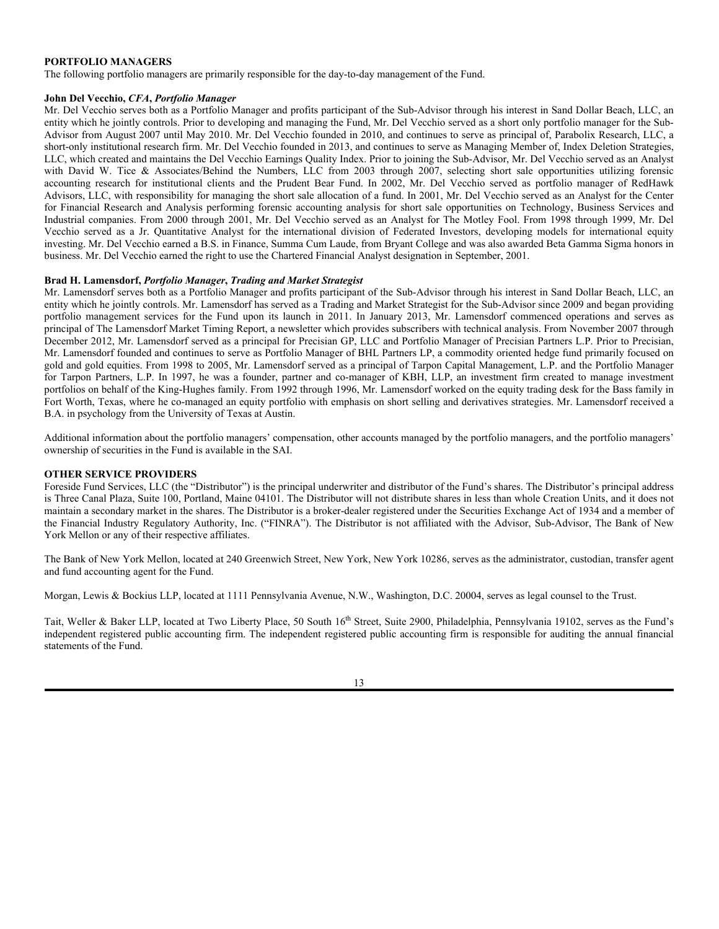## **PORTFOLIO MANAGERS**

The following portfolio managers are primarily responsible for the day-to-day management of the Fund.

#### **John Del Vecchio,** *CFA***,** *Portfolio Manager*

Mr. Del Vecchio serves both as a Portfolio Manager and profits participant of the Sub-Advisor through his interest in Sand Dollar Beach, LLC, an entity which he jointly controls. Prior to developing and managing the Fund, Mr. Del Vecchio served as a short only portfolio manager for the Sub-Advisor from August 2007 until May 2010. Mr. Del Vecchio founded in 2010, and continues to serve as principal of, Parabolix Research, LLC, a short-only institutional research firm. Mr. Del Vecchio founded in 2013, and continues to serve as Managing Member of, Index Deletion Strategies, LLC, which created and maintains the Del Vecchio Earnings Quality Index. Prior to joining the Sub-Advisor, Mr. Del Vecchio served as an Analyst with David W. Tice & Associates/Behind the Numbers, LLC from 2003 through 2007, selecting short sale opportunities utilizing forensic accounting research for institutional clients and the Prudent Bear Fund. In 2002, Mr. Del Vecchio served as portfolio manager of RedHawk Advisors, LLC, with responsibility for managing the short sale allocation of a fund. In 2001, Mr. Del Vecchio served as an Analyst for the Center for Financial Research and Analysis performing forensic accounting analysis for short sale opportunities on Technology, Business Services and Industrial companies. From 2000 through 2001, Mr. Del Vecchio served as an Analyst for The Motley Fool. From 1998 through 1999, Mr. Del Vecchio served as a Jr. Quantitative Analyst for the international division of Federated Investors, developing models for international equity investing. Mr. Del Vecchio earned a B.S. in Finance, Summa Cum Laude, from Bryant College and was also awarded Beta Gamma Sigma honors in business. Mr. Del Vecchio earned the right to use the Chartered Financial Analyst designation in September, 2001.

#### **Brad H. Lamensdorf,** *Portfolio Manager***,** *Trading and Market Strategist*

Mr. Lamensdorf serves both as a Portfolio Manager and profits participant of the Sub-Advisor through his interest in Sand Dollar Beach, LLC, an entity which he jointly controls. Mr. Lamensdorf has served as a Trading and Market Strategist for the Sub-Advisor since 2009 and began providing portfolio management services for the Fund upon its launch in 2011. In January 2013, Mr. Lamensdorf commenced operations and serves as principal of The Lamensdorf Market Timing Report, a newsletter which provides subscribers with technical analysis. From November 2007 through December 2012, Mr. Lamensdorf served as a principal for Precisian GP, LLC and Portfolio Manager of Precisian Partners L.P. Prior to Precisian, Mr. Lamensdorf founded and continues to serve as Portfolio Manager of BHL Partners LP, a commodity oriented hedge fund primarily focused on gold and gold equities. From 1998 to 2005, Mr. Lamensdorf served as a principal of Tarpon Capital Management, L.P. and the Portfolio Manager for Tarpon Partners, L.P. In 1997, he was a founder, partner and co-manager of KBH, LLP, an investment firm created to manage investment portfolios on behalf of the King-Hughes family. From 1992 through 1996, Mr. Lamensdorf worked on the equity trading desk for the Bass family in Fort Worth, Texas, where he co-managed an equity portfolio with emphasis on short selling and derivatives strategies. Mr. Lamensdorf received a B.A. in psychology from the University of Texas at Austin.

Additional information about the portfolio managers' compensation, other accounts managed by the portfolio managers, and the portfolio managers' ownership of securities in the Fund is available in the SAI.

#### **OTHER SERVICE PROVIDERS**

Foreside Fund Services, LLC (the "Distributor") is the principal underwriter and distributor of the Fund's shares. The Distributor's principal address is Three Canal Plaza, Suite 100, Portland, Maine 04101. The Distributor will not distribute shares in less than whole Creation Units, and it does not maintain a secondary market in the shares. The Distributor is a broker-dealer registered under the Securities Exchange Act of 1934 and a member of the Financial Industry Regulatory Authority, Inc. ("FINRA"). The Distributor is not affiliated with the Advisor, Sub-Advisor, The Bank of New York Mellon or any of their respective affiliates.

The Bank of New York Mellon, located at 240 Greenwich Street, New York, New York 10286, serves as the administrator, custodian, transfer agent and fund accounting agent for the Fund.

Morgan, Lewis & Bockius LLP, located at 1111 Pennsylvania Avenue, N.W., Washington, D.C. 20004, serves as legal counsel to the Trust.

Tait, Weller & Baker LLP, located at Two Liberty Place, 50 South 16<sup>th</sup> Street, Suite 2900, Philadelphia, Pennsylvania 19102, serves as the Fund's independent registered public accounting firm. The independent registered public accounting firm is responsible for auditing the annual financial statements of the Fund.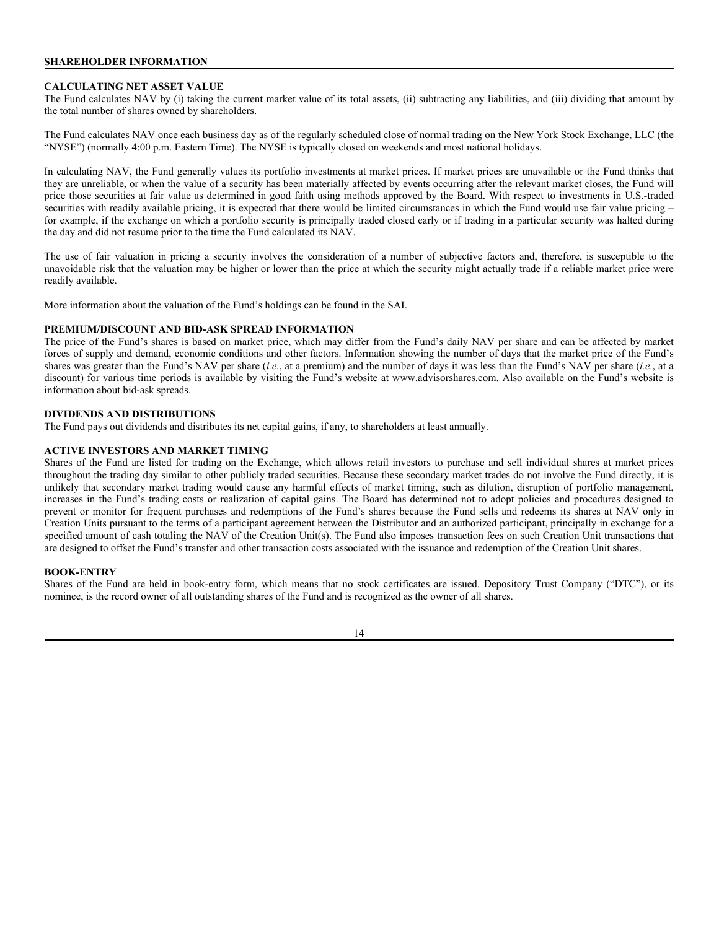## **SHAREHOLDER INFORMATION**

#### **CALCULATING NET ASSET VALUE**

The Fund calculates NAV by (i) taking the current market value of its total assets, (ii) subtracting any liabilities, and (iii) dividing that amount by the total number of shares owned by shareholders.

The Fund calculates NAV once each business day as of the regularly scheduled close of normal trading on the New York Stock Exchange, LLC (the "NYSE") (normally 4:00 p.m. Eastern Time). The NYSE is typically closed on weekends and most national holidays.

In calculating NAV, the Fund generally values its portfolio investments at market prices. If market prices are unavailable or the Fund thinks that they are unreliable, or when the value of a security has been materially affected by events occurring after the relevant market closes, the Fund will price those securities at fair value as determined in good faith using methods approved by the Board. With respect to investments in U.S.-traded securities with readily available pricing, it is expected that there would be limited circumstances in which the Fund would use fair value pricing – for example, if the exchange on which a portfolio security is principally traded closed early or if trading in a particular security was halted during the day and did not resume prior to the time the Fund calculated its NAV.

The use of fair valuation in pricing a security involves the consideration of a number of subjective factors and, therefore, is susceptible to the unavoidable risk that the valuation may be higher or lower than the price at which the security might actually trade if a reliable market price were readily available.

More information about the valuation of the Fund's holdings can be found in the SAI.

#### **PREMIUM/DISCOUNT AND BID-ASK SPREAD INFORMATION**

The price of the Fund's shares is based on market price, which may differ from the Fund's daily NAV per share and can be affected by market forces of supply and demand, economic conditions and other factors. Information showing the number of days that the market price of the Fund's shares was greater than the Fund's NAV per share (*i.e.*, at a premium) and the number of days it was less than the Fund's NAV per share (*i.e.*, at a discount) for various time periods is available by visiting the Fund's website at www.advisorshares.com. Also available on the Fund's website is information about bid-ask spreads.

## **DIVIDENDS AND DISTRIBUTIONS**

The Fund pays out dividends and distributes its net capital gains, if any, to shareholders at least annually.

### **ACTIVE INVESTORS AND MARKET TIMING**

Shares of the Fund are listed for trading on the Exchange, which allows retail investors to purchase and sell individual shares at market prices throughout the trading day similar to other publicly traded securities. Because these secondary market trades do not involve the Fund directly, it is unlikely that secondary market trading would cause any harmful effects of market timing, such as dilution, disruption of portfolio management, increases in the Fund's trading costs or realization of capital gains. The Board has determined not to adopt policies and procedures designed to prevent or monitor for frequent purchases and redemptions of the Fund's shares because the Fund sells and redeems its shares at NAV only in Creation Units pursuant to the terms of a participant agreement between the Distributor and an authorized participant, principally in exchange for a specified amount of cash totaling the NAV of the Creation Unit(s). The Fund also imposes transaction fees on such Creation Unit transactions that are designed to offset the Fund's transfer and other transaction costs associated with the issuance and redemption of the Creation Unit shares.

#### **BOOK-ENTRY**

Shares of the Fund are held in book-entry form, which means that no stock certificates are issued. Depository Trust Company ("DTC"), or its nominee, is the record owner of all outstanding shares of the Fund and is recognized as the owner of all shares.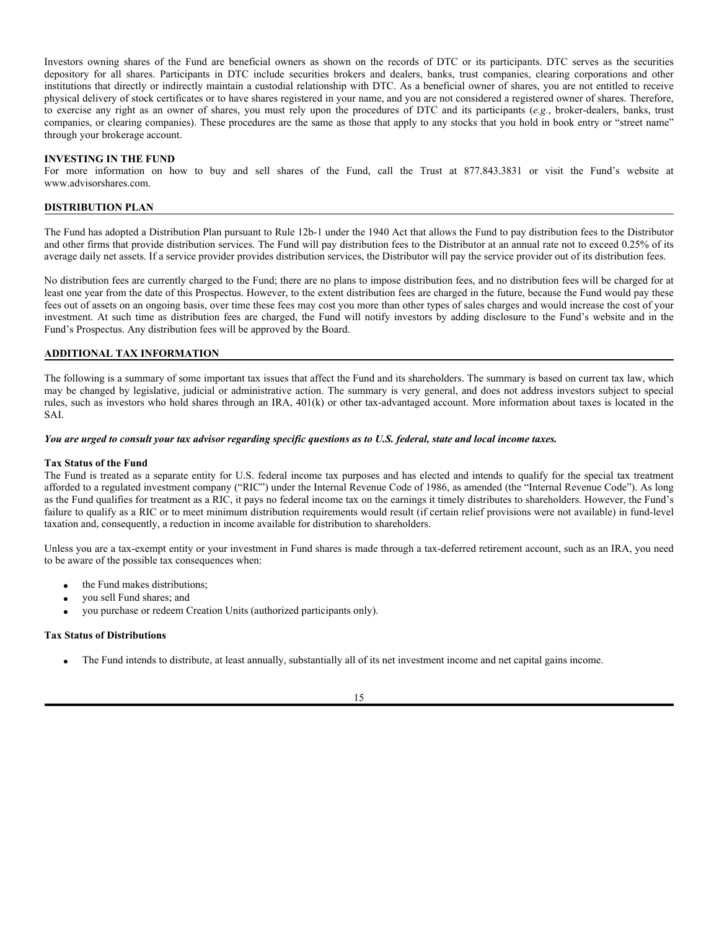Investors owning shares of the Fund are beneficial owners as shown on the records of DTC or its participants. DTC serves as the securities depository for all shares. Participants in DTC include securities brokers and dealers, banks, trust companies, clearing corporations and other institutions that directly or indirectly maintain a custodial relationship with DTC. As a beneficial owner of shares, you are not entitled to receive physical delivery of stock certificates or to have shares registered in your name, and you are not considered a registered owner of shares. Therefore, to exercise any right as an owner of shares, you must rely upon the procedures of DTC and its participants (*e.g.*, broker-dealers, banks, trust companies, or clearing companies). These procedures are the same as those that apply to any stocks that you hold in book entry or "street name" through your brokerage account.

#### **INVESTING IN THE FUND**

For more information on how to buy and sell shares of the Fund, call the Trust at 877.843.3831 or visit the Fund's website at www.advisorshares.com.

### **DISTRIBUTION PLAN**

The Fund has adopted a Distribution Plan pursuant to Rule 12b-1 under the 1940 Act that allows the Fund to pay distribution fees to the Distributor and other firms that provide distribution services. The Fund will pay distribution fees to the Distributor at an annual rate not to exceed 0.25% of its average daily net assets. If a service provider provides distribution services, the Distributor will pay the service provider out of its distribution fees.

No distribution fees are currently charged to the Fund; there are no plans to impose distribution fees, and no distribution fees will be charged for at least one year from the date of this Prospectus. However, to the extent distribution fees are charged in the future, because the Fund would pay these fees out of assets on an ongoing basis, over time these fees may cost you more than other types of sales charges and would increase the cost of your investment. At such time as distribution fees are charged, the Fund will notify investors by adding disclosure to the Fund's website and in the Fund's Prospectus. Any distribution fees will be approved by the Board.

#### **ADDITIONAL TAX INFORMATION**

The following is a summary of some important tax issues that affect the Fund and its shareholders. The summary is based on current tax law, which may be changed by legislative, judicial or administrative action. The summary is very general, and does not address investors subject to special rules, such as investors who hold shares through an IRA, 401(k) or other tax-advantaged account. More information about taxes is located in the SAI.

#### *You are urged to consult your tax advisor regarding specific questions as to U.S. federal, state and local income taxes.*

#### **Tax Status of the Fund**

The Fund is treated as a separate entity for U.S. federal income tax purposes and has elected and intends to qualify for the special tax treatment afforded to a regulated investment company ("RIC") under the Internal Revenue Code of 1986, as amended (the "Internal Revenue Code"). As long as the Fund qualifies for treatment as a RIC, it pays no federal income tax on the earnings it timely distributes to shareholders. However, the Fund's failure to qualify as a RIC or to meet minimum distribution requirements would result (if certain relief provisions were not available) in fund-level taxation and, consequently, a reduction in income available for distribution to shareholders.

Unless you are a tax-exempt entity or your investment in Fund shares is made through a tax-deferred retirement account, such as an IRA, you need to be aware of the possible tax consequences when:

- the Fund makes distributions;
- you sell Fund shares; and
- you purchase or redeem Creation Units (authorized participants only).

#### **Tax Status of Distributions**

The Fund intends to distribute, at least annually, substantially all of its net investment income and net capital gains income.

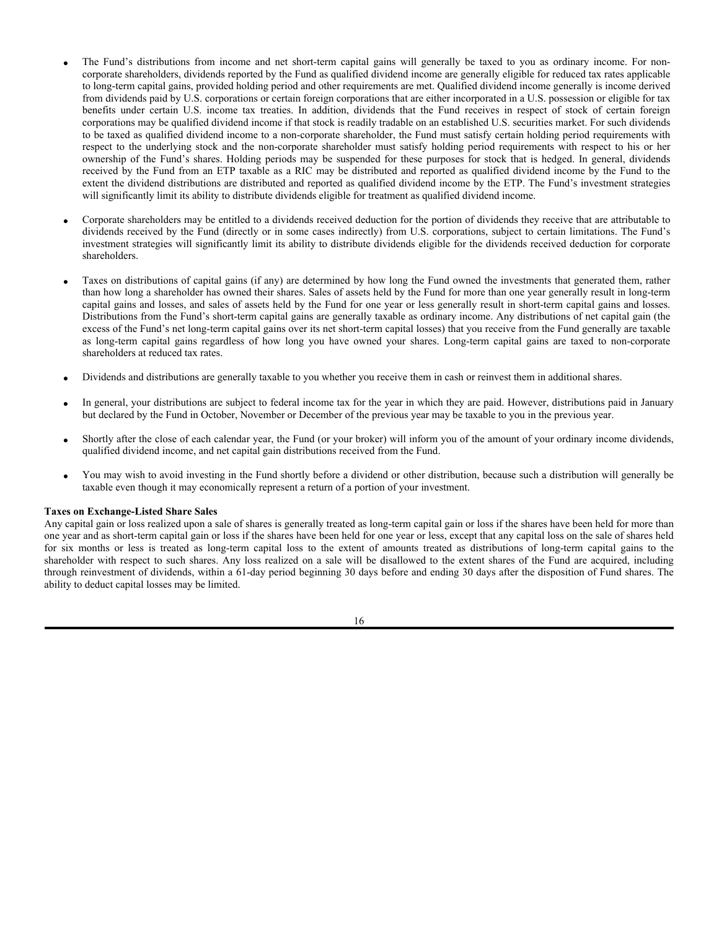- The Fund's distributions from income and net short-term capital gains will generally be taxed to you as ordinary income. For noncorporate shareholders, dividends reported by the Fund as qualified dividend income are generally eligible for reduced tax rates applicable to long-term capital gains, provided holding period and other requirements are met. Qualified dividend income generally is income derived from dividends paid by U.S. corporations or certain foreign corporations that are either incorporated in a U.S. possession or eligible for tax benefits under certain U.S. income tax treaties. In addition, dividends that the Fund receives in respect of stock of certain foreign corporations may be qualified dividend income if that stock is readily tradable on an established U.S. securities market. For such dividends to be taxed as qualified dividend income to a non-corporate shareholder, the Fund must satisfy certain holding period requirements with respect to the underlying stock and the non-corporate shareholder must satisfy holding period requirements with respect to his or her ownership of the Fund's shares. Holding periods may be suspended for these purposes for stock that is hedged. In general, dividends received by the Fund from an ETP taxable as a RIC may be distributed and reported as qualified dividend income by the Fund to the extent the dividend distributions are distributed and reported as qualified dividend income by the ETP. The Fund's investment strategies will significantly limit its ability to distribute dividends eligible for treatment as qualified dividend income.
- Corporate shareholders may be entitled to a dividends received deduction for the portion of dividends they receive that are attributable to dividends received by the Fund (directly or in some cases indirectly) from U.S. corporations, subject to certain limitations. The Fund's investment strategies will significantly limit its ability to distribute dividends eligible for the dividends received deduction for corporate shareholders.
- Taxes on distributions of capital gains (if any) are determined by how long the Fund owned the investments that generated them, rather than how long a shareholder has owned their shares. Sales of assets held by the Fund for more than one year generally result in long-term capital gains and losses, and sales of assets held by the Fund for one year or less generally result in short-term capital gains and losses. Distributions from the Fund's short-term capital gains are generally taxable as ordinary income. Any distributions of net capital gain (the excess of the Fund's net long-term capital gains over its net short-term capital losses) that you receive from the Fund generally are taxable as long-term capital gains regardless of how long you have owned your shares. Long-term capital gains are taxed to non-corporate shareholders at reduced tax rates.
- Dividends and distributions are generally taxable to you whether you receive them in cash or reinvest them in additional shares.
- In general, your distributions are subject to federal income tax for the year in which they are paid. However, distributions paid in January but declared by the Fund in October, November or December of the previous year may be taxable to you in the previous year.
- Shortly after the close of each calendar year, the Fund (or your broker) will inform you of the amount of your ordinary income dividends, qualified dividend income, and net capital gain distributions received from the Fund.
- You may wish to avoid investing in the Fund shortly before a dividend or other distribution, because such a distribution will generally be taxable even though it may economically represent a return of a portion of your investment.

#### **Taxes on Exchange-Listed Share Sales**

Any capital gain or loss realized upon a sale of shares is generally treated as long-term capital gain or loss if the shares have been held for more than one year and as short-term capital gain or loss if the shares have been held for one year or less, except that any capital loss on the sale of shares held for six months or less is treated as long-term capital loss to the extent of amounts treated as distributions of long-term capital gains to the shareholder with respect to such shares. Any loss realized on a sale will be disallowed to the extent shares of the Fund are acquired, including through reinvestment of dividends, within a 61-day period beginning 30 days before and ending 30 days after the disposition of Fund shares. The ability to deduct capital losses may be limited.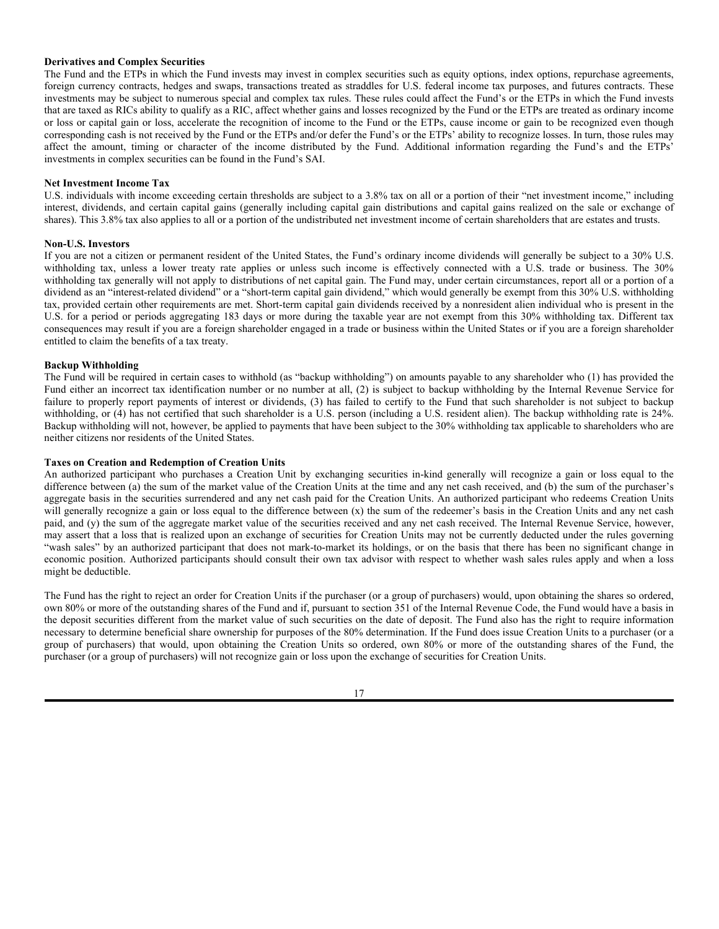## **Derivatives and Complex Securities**

The Fund and the ETPs in which the Fund invests may invest in complex securities such as equity options, index options, repurchase agreements, foreign currency contracts, hedges and swaps, transactions treated as straddles for U.S. federal income tax purposes, and futures contracts. These investments may be subject to numerous special and complex tax rules. These rules could affect the Fund's or the ETPs in which the Fund invests that are taxed as RICs ability to qualify as a RIC, affect whether gains and losses recognized by the Fund or the ETPs are treated as ordinary income or loss or capital gain or loss, accelerate the recognition of income to the Fund or the ETPs, cause income or gain to be recognized even though corresponding cash is not received by the Fund or the ETPs and/or defer the Fund's or the ETPs' ability to recognize losses. In turn, those rules may affect the amount, timing or character of the income distributed by the Fund. Additional information regarding the Fund's and the ETPs' investments in complex securities can be found in the Fund's SAI.

## **Net Investment Income Tax**

U.S. individuals with income exceeding certain thresholds are subject to a 3.8% tax on all or a portion of their "net investment income," including interest, dividends, and certain capital gains (generally including capital gain distributions and capital gains realized on the sale or exchange of shares). This 3.8% tax also applies to all or a portion of the undistributed net investment income of certain shareholders that are estates and trusts.

#### **Non-U.S. Investors**

If you are not a citizen or permanent resident of the United States, the Fund's ordinary income dividends will generally be subject to a 30% U.S. withholding tax, unless a lower treaty rate applies or unless such income is effectively connected with a U.S. trade or business. The 30% withholding tax generally will not apply to distributions of net capital gain. The Fund may, under certain circumstances, report all or a portion of a dividend as an "interest-related dividend" or a "short-term capital gain dividend," which would generally be exempt from this 30% U.S. withholding tax, provided certain other requirements are met. Short-term capital gain dividends received by a nonresident alien individual who is present in the U.S. for a period or periods aggregating 183 days or more during the taxable year are not exempt from this 30% withholding tax. Different tax consequences may result if you are a foreign shareholder engaged in a trade or business within the United States or if you are a foreign shareholder entitled to claim the benefits of a tax treaty.

## **Backup Withholding**

The Fund will be required in certain cases to withhold (as "backup withholding") on amounts payable to any shareholder who (1) has provided the Fund either an incorrect tax identification number or no number at all, (2) is subject to backup withholding by the Internal Revenue Service for failure to properly report payments of interest or dividends, (3) has failed to certify to the Fund that such shareholder is not subject to backup withholding, or (4) has not certified that such shareholder is a U.S. person (including a U.S. resident alien). The backup withholding rate is 24%. Backup withholding will not, however, be applied to payments that have been subject to the 30% withholding tax applicable to shareholders who are neither citizens nor residents of the United States.

#### **Taxes on Creation and Redemption of Creation Units**

An authorized participant who purchases a Creation Unit by exchanging securities in-kind generally will recognize a gain or loss equal to the difference between (a) the sum of the market value of the Creation Units at the time and any net cash received, and (b) the sum of the purchaser's aggregate basis in the securities surrendered and any net cash paid for the Creation Units. An authorized participant who redeems Creation Units will generally recognize a gain or loss equal to the difference between (x) the sum of the redeemer's basis in the Creation Units and any net cash paid, and (y) the sum of the aggregate market value of the securities received and any net cash received. The Internal Revenue Service, however, may assert that a loss that is realized upon an exchange of securities for Creation Units may not be currently deducted under the rules governing "wash sales" by an authorized participant that does not mark-to-market its holdings, or on the basis that there has been no significant change in economic position. Authorized participants should consult their own tax advisor with respect to whether wash sales rules apply and when a loss might be deductible.

The Fund has the right to reject an order for Creation Units if the purchaser (or a group of purchasers) would, upon obtaining the shares so ordered, own 80% or more of the outstanding shares of the Fund and if, pursuant to section 351 of the Internal Revenue Code, the Fund would have a basis in the deposit securities different from the market value of such securities on the date of deposit. The Fund also has the right to require information necessary to determine beneficial share ownership for purposes of the 80% determination. If the Fund does issue Creation Units to a purchaser (or a group of purchasers) that would, upon obtaining the Creation Units so ordered, own 80% or more of the outstanding shares of the Fund, the purchaser (or a group of purchasers) will not recognize gain or loss upon the exchange of securities for Creation Units.

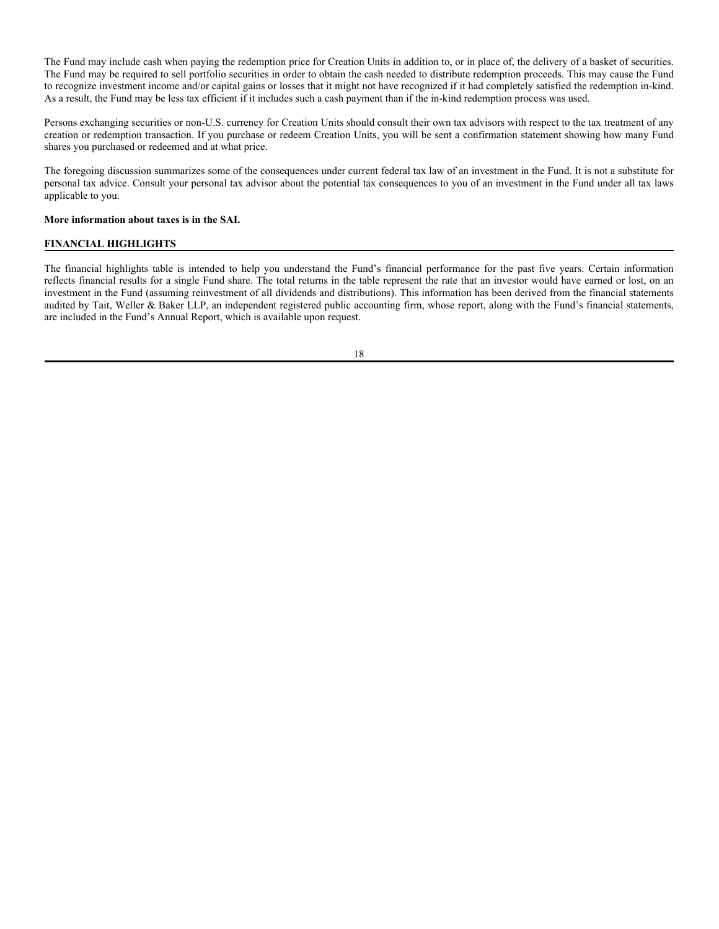The Fund may include cash when paying the redemption price for Creation Units in addition to, or in place of, the delivery of a basket of securities. The Fund may be required to sell portfolio securities in order to obtain the cash needed to distribute redemption proceeds. This may cause the Fund to recognize investment income and/or capital gains or losses that it might not have recognized if it had completely satisfied the redemption in-kind. As a result, the Fund may be less tax efficient if it includes such a cash payment than if the in-kind redemption process was used.

Persons exchanging securities or non-U.S. currency for Creation Units should consult their own tax advisors with respect to the tax treatment of any creation or redemption transaction. If you purchase or redeem Creation Units, you will be sent a confirmation statement showing how many Fund shares you purchased or redeemed and at what price.

The foregoing discussion summarizes some of the consequences under current federal tax law of an investment in the Fund. It is not a substitute for personal tax advice. Consult your personal tax advisor about the potential tax consequences to you of an investment in the Fund under all tax laws applicable to you.

### **More information about taxes is in the SAI.**

## **FINANCIAL HIGHLIGHTS**

The financial highlights table is intended to help you understand the Fund's financial performance for the past five years. Certain information reflects financial results for a single Fund share. The total returns in the table represent the rate that an investor would have earned or lost, on an investment in the Fund (assuming reinvestment of all dividends and distributions). This information has been derived from the financial statements audited by Tait, Weller & Baker LLP, an independent registered public accounting firm, whose report, along with the Fund's financial statements, are included in the Fund's Annual Report, which is available upon request.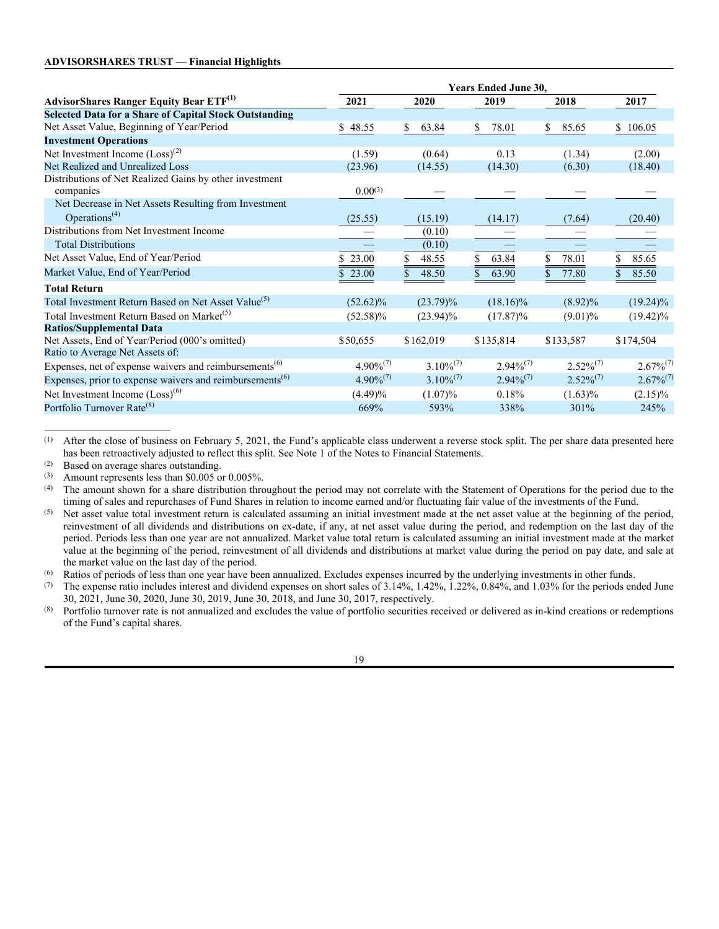|                                                                                   | <b>Years Ended June 30,</b> |                |                |                |                |
|-----------------------------------------------------------------------------------|-----------------------------|----------------|----------------|----------------|----------------|
| AdvisorShares Ranger Equity Bear ETF <sup>(1)</sup>                               | 2021                        | 2020           | 2019           | 2018           | 2017           |
| <b>Selected Data for a Share of Capital Stock Outstanding</b>                     |                             |                |                |                |                |
| Net Asset Value, Beginning of Year/Period                                         | 48.55<br>S.                 | 63.84<br>S.    | 78.01<br>S     | 85.65<br>S     | \$106.05       |
| <b>Investment Operations</b>                                                      |                             |                |                |                |                |
| Net Investment Income $(Loss)^{(2)}$                                              | (1.59)                      | (0.64)         | 0.13           | (1.34)         | (2.00)         |
| Net Realized and Unrealized Loss                                                  | (23.96)                     | (14.55)        | (14.30)        | (6.30)         | (18.40)        |
| Distributions of Net Realized Gains by other investment<br>companies              | $0.00^{(3)}$                |                |                |                |                |
| Net Decrease in Net Assets Resulting from Investment                              |                             |                |                |                |                |
| Operations <sup><math>(4)</math></sup>                                            | (25.55)                     | (15.19)        | (14.17)        | (7.64)         | (20.40)        |
| Distributions from Net Investment Income                                          |                             | (0.10)         |                |                |                |
| <b>Total Distributions</b>                                                        |                             | (0.10)         |                |                |                |
| Net Asset Value, End of Year/Period                                               | \$23.00                     | 48.55<br>S     | 63.84          | 78.01          | 85.65          |
| Market Value, End of Year/Period                                                  | 23.00                       | 48.50          | 63.90          | 77.80          | 85.50          |
| <b>Total Return</b>                                                               |                             |                |                |                |                |
| Total Investment Return Based on Net Asset Value <sup>(5)</sup>                   | $(52.62)\%$                 | $(23.79)\%$    | $(18.16)\%$    | $(8.92)\%$     | $(19.24)\%$    |
| Total Investment Return Based on Market <sup>(5)</sup>                            | $(52.58)\%$                 | $(23.94)\%$    | $(17.87)\%$    | $(9.01)\%$     | $(19.42)\%$    |
| <b>Ratios/Supplemental Data</b>                                                   |                             |                |                |                |                |
| Net Assets, End of Year/Period (000's omitted)                                    | \$50,655                    | \$162,019      | \$135,814      | \$133,587      | \$174,504      |
| Ratio to Average Net Assets of:                                                   |                             |                |                |                |                |
| Expenses, net of expense waivers and reimbursements <sup>(6)</sup>                | $4.90\%^{(7)}$              | $3.10\%^{(7)}$ | $2.94\%^{(7)}$ | $2.52\%^{(7)}$ | $2.67\%^{(7)}$ |
| Expenses, prior to expense waivers and reimbursements <sup><math>(6)</math></sup> | $4.90\%^{(7)}$              | $3.10\%^{(7)}$ | $2.94\%^{(7)}$ | $2.52\%^{(7)}$ | $2.67\%^{(7)}$ |
| Net Investment Income (Loss) <sup>(6)</sup>                                       | $(4.49)\%$                  | $(1.07)\%$     | 0.18%          | $(1.63)\%$     | $(2.15)\%$     |
| Portfolio Turnover Rate <sup>(8)</sup>                                            | 669%                        | 593%           | 338%           | 301%           | 245%           |
|                                                                                   |                             |                |                |                |                |

(1) After the close of business on February 5, 2021, the Fund's applicable class underwent a reverse stock split. The per share data presented here has been retroactively adjusted to reflect this split. See Note 1 of the Notes to Financial Statements.

(2) Based on average shares outstanding.<br>(3) Amount represents less than  $$0.005$  or

(3) Amount represents less than \$0.005 or 0.005%.<br>(4) The amount shown for a share distribution throw

The amount shown for a share distribution throughout the period may not correlate with the Statement of Operations for the period due to the timing of sales and repurchases of Fund Shares in relation to income earned and/or fluctuating fair value of the investments of the Fund.

(6) Ratios of periods of less than one year have been annualized. Excludes expenses incurred by the underlying investments in other funds.

(7) The expense ratio includes interest and dividend expenses on short sales of  $3.14\%$ ,  $1.42\%$ ,  $1.22\%$ ,  $0.84\%$ , and  $1.03\%$  for the periods ended June 30, 2021, June 30, 2020, June 30, 2019, June 30, 2018, and June 30, 2017, respectively.

(8) Portfolio turnover rate is not annualized and excludes the value of portfolio securities received or delivered as in-kind creations or redemptions of the Fund's capital shares.

<sup>(5)</sup> Net asset value total investment return is calculated assuming an initial investment made at the net asset value at the beginning of the period, reinvestment of all dividends and distributions on ex-date, if any, at net asset value during the period, and redemption on the last day of the period. Periods less than one year are not annualized. Market value total return is calculated assuming an initial investment made at the market value at the beginning of the period, reinvestment of all dividends and distributions at market value during the period on pay date, and sale at the market value on the last day of the period.